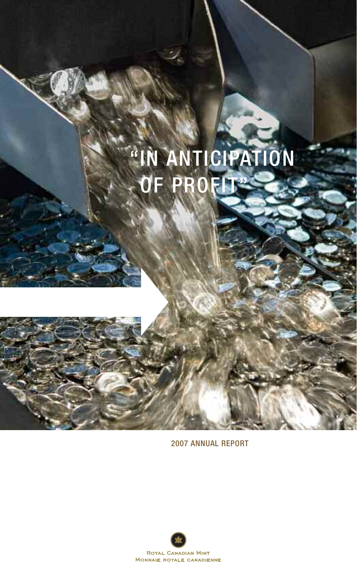# IN ANTICIPATION OF PROFIT" "

2007 ANNUAL REPORT

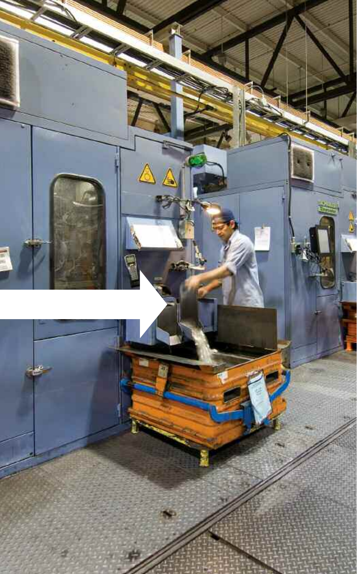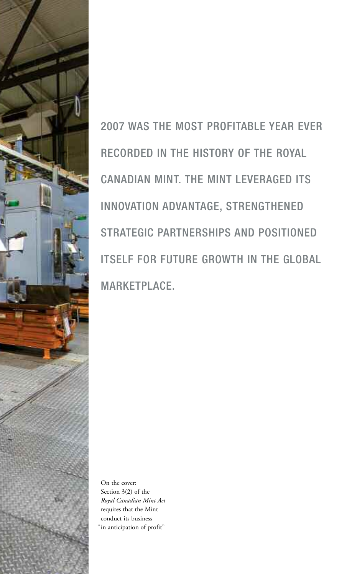

2007 WAS THE MOST PROFITABLE YEAR EVER RECORDED IN THE HISTORY OF THE ROYAL CANADIAN MINT. THE MINT LEVERAGED ITS INNOVATION ADVANTAGE, STRENGTHENED STRATEGIC PARTNERSHIPS AND POSITIONED ITSELF FOR FUTURE GROWTH IN THE GLOBAL MARKETPLACE.

On the cover: Section 3(2) of the *Royal Canadian Mint Act* requires that the Mint conduct its business " in anticipation of profit"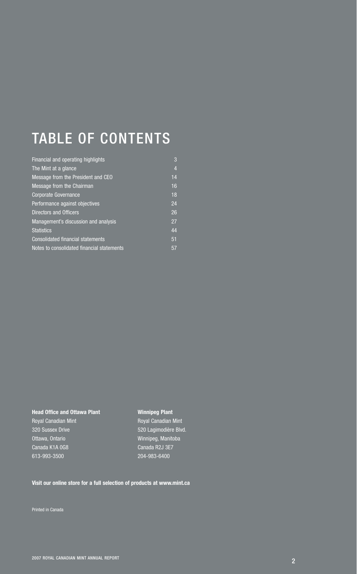# TABLE OF CONTENTS

| Financial and operating highlights         | 3              |
|--------------------------------------------|----------------|
| The Mint at a glance                       | $\overline{4}$ |
| Message from the President and CEO         | 14             |
| Message from the Chairman                  | 16             |
| <b>Corporate Governance</b>                | 18             |
| Performance against objectives             | 24             |
| Directors and Officers                     | 26             |
| Management's discussion and analysis       | 27             |
| <b>Statistics</b>                          | 44             |
| <b>Consolidated financial statements</b>   | 51             |
| Notes to consolidated financial statements | 57             |

#### **Head Office and Ottawa Plant**

Royal Canadian Mint 320 Sussex Drive Ottawa, Ontario Canada K1A 0G8 613-993-3500

#### **Winnipeg Plant**

Royal Canadian Mint 520 Lagimodière Blvd. Winnipeg, Manitoba Canada R2J 3E7 204-983-6400

#### **Visit our online store for a full selection of products at www.mint.ca**

Printed in Canada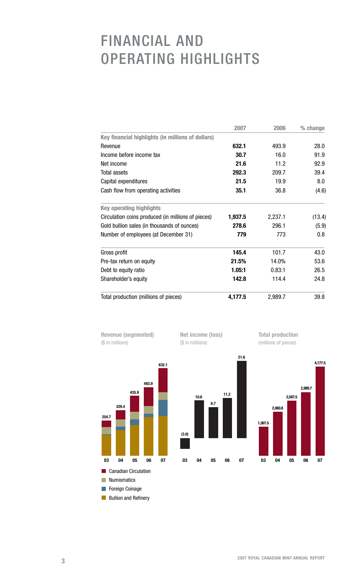# FINANCIAL AND OPERATING HIGHLIGHTS

|                                                    | 2007    | 2006    | $%$ change |
|----------------------------------------------------|---------|---------|------------|
| Key financial highlights (in millions of dollars)  |         |         |            |
| Revenue                                            | 632.1   | 493.9   | 28.0       |
| Income before income tax                           | 30.7    | 16.0    | 91.9       |
| Net income                                         | 21.6    | 11.2    | 92.9       |
| Total assets                                       | 292.3   | 209.7   | 39.4       |
| Capital expenditures                               | 21.5    | 19.9    | 8.0        |
| Cash flow from operating activities                | 35.1    | 36.8    | (4.6)      |
| <b>Key operating highlights</b>                    |         |         |            |
| Circulation coins produced (in millions of pieces) | 1,937.5 | 2,237.1 | (13.4)     |
| Gold bullion sales (in thousands of ounces)        | 278.6   | 296.1   | (5.9)      |
| Number of employees (at December 31)               | 779     | 773     | 0.8        |
| Gross profit                                       | 145.4   | 101.7   | 43.0       |
| Pre-tax return on equity                           | 21.5%   | 14.0%   | 53.6       |
| Debt to equity ratio                               | 1.05:1  | 0.83:1  | 26.5       |
| Shareholder's equity                               | 142.8   | 114.4   | 24.8       |
| Total production (millions of pieces)              | 4,177.5 | 2,989.7 | 39.8       |



**Net income (loss)** (\$ in millions)

**(3.0)**

**Total production** (millions of pieces)







**435.9**

**493.9**

**632.1**

**Numismatics** 

**254.7**

**329.4**

 $\blacksquare$  Foreign Coinage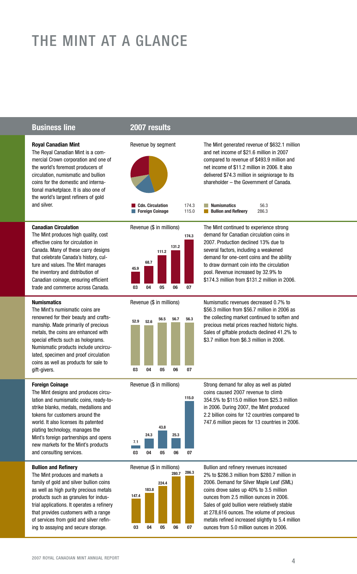# THE MINT AT A GLANCE

#### **Business line**

#### **Royal Canadian Mint**

The Royal Canadian Mint is a commercial Crown corporation and one of the world's foremost producers of circulation, numismatic and bullion coins for the domestic and international marketplace. It is also one of the world's largest refiners of gold and silver.

#### **Canadian Circulation**

The Mint produces high quality, cost effective coins for circulation in Canada. Many of these carry designs that celebrate Canada's history, culture and values. The Mint manages the inventory and distribution of Canadian coinage, ensuring efficient trade and commerce across Canada.

#### **Numismatics**

The Mint's numismatic coins are renowned for their beauty and crafts-**174.3** manship. Made primarily of precious metals, the coins are enhanced with special effects such as holograms. Numismatic products include uncircu-**68.7** lated, specimen and proof circulation **45.9** coins as well as products for sale to gift-givers. enowned<br>nanship.<br>netals, th<br>pecial ef<br>lumismat<br>ated, special<br>orginn C their bea<br>
e primar<br>
ins are e<br>
such as<br>
roducts i<br>
en and pr<br>
as<br>
pre an<br>fp<br>og<br>de<br>cir<br>or

#### **Foreign Coinage**

The Mint designs and produces circulation and numismatic coins, ready-to-**56.7 56.3** strike blanks, medals, medallions and **52.9 52.6 56.5** tokens for customers around the world. It also licenses its patented plating technology, manages the Mint's foreign partnerships and opens new markets for the Mint's products and consulting services. trion and<br>**bikens** for<br>orld. It a<br>lating tec<br>lint's fore<br>ew mark<br>and consu nismatic<br>medals, <sub>i</sub><br>tomers a<br>icenses i<br>logy, ma<br>partners<br>**ofinery** s,<br>all<br>ate<br>ar<br>pl Foreign circulation revenue

#### **Bullion and Refinery**

The Mint produces and markets a family of gold and silver bullion coins as well as high purity precious metals products such as granules for industrial applications. It operates a refinery **43.8** that provides customers with a range **24.3 25.3**  of services from gold and silver refin-**7.1** ing to assaying and secure storage. **18 Mint p**<br>
mily of g<br>
s well as<br>
coducts s<br>
coducts s<br>
al applic<br>
at provid<br>
services<br>
g to assa aces and<br>and silver<br>**1** purity p<br>as granu<br>5. It ope<br>ustomers<br>m gold and sec **19**<br> **1**<br> **1**<br> **1**<br> **1**<br> **1**<br> **11**<br> **11**<br> **11**<br> **11** 

#### **2007 results**



**Foreign Coinage** 



Revenue (\$ in millions)

**56.7 56.3**

86.:<br>**07** 

**07** 

The Mint generated revenue of \$632.1 million and net income of \$21.6 million in 2007 compared to revenue of \$493.9 million and net income of \$11.2 million in 2006. It also delivered \$74.3 million in seigniorage to its shareholder – the Government of Canada.

| 174.3 | <b>Numismatics</b>          | 56.3  |  |
|-------|-----------------------------|-------|--|
| 115.0 | <b>Bullion and Refinery</b> | 286.3 |  |
|       |                             |       |  |

The Mint continued to experience strong demand for Canadian circulation coins in 2007. Production declined 13% due to **52.9 52.6 56.5** several factors, including a weakened demand for one-cent coins and the ability to draw dormant coin into the circulation pool. Revenue increased by 32.9% to \$174.3 million from \$131.2 million in 2006. **13%** during a weaker<br>
13% during a weaker<br>
16. **During a weaker**<br>
16. **During a weaker**<br>
16. **During a Start of the Start And Start And Start And Start And Start And Start And Start And Start And Start And Start And Start 2 5 56.5 56.5 56.5 56.5 56.5 56.5 56.5 56.5 56.5 56.5 56.5 56.5 56.5 56.5 56.5 56.5 56.5 56.5 56.5 56.5 56.5 56.5 56.5 56.5 56.5 56.5 56.5 56.5 56.5 56.5 56.** lit<u>y</u><br>
0 201<br>
2<br>
1

**03 04**

**03 04**

Foreign circula

Numismatic revenues decreased 0.7% to \$56.3 million from \$56.7 million in 2006 as the collecting market continued to soften and **115.0** precious metal prices reached historic highs. Sales of giftable products declined 41.2% to \$3.7 million from \$6.3 million in 2006. market<br>al prices<br>ble produ<br>rom \$6.3<br>ad for all inued to<br>ched hist<br>declined<br>lion in 20<br>**06** en<br>hig<br>2%

**032.9**<br> **03**<br> **04**<br> **04**<br> **04**<br> **04**<br> **04** 16.5 56.1<br>**05 06**<br>millions Revenue (\$ in millions)

**52.9 52.6 56.5**



Strong demand for alloy as well as plated coins caused 2007 revenue to climb 354.5% to \$115.0 million from \$25.3 million **280.7 286.3** in 2006. During 2007, the Mint produced 2.2 billion coins for 12 countries compared to 747.6 million pieces for 13 countries in 2006. 115.0 mi<br>ng 2007<br>ins for 11<br>pieces f<br><del>of</del>inery re from \$2<br>Mint pro<br>untries c<br>3 countries<br>**106** increasing mi<br>ed<br>n 2<br>————————

Revenue (\$ in millions)**280.7 286.3** 183.<br>47.4<br>03 04 24.4<br>**05** 06<br>**05** 06 **0 7 224.4 183.8 147.4**  $07$ 

Bullion and refinery revenues increased 2% to \$286.3 million from \$280.7 million in 2006. Demand for Silver Maple Leaf (SML) coins drove sales up 40% to 3.5 million ounces from 2.5 million ounces in 2006. Sales of gold bullion were relatively stable at 278,616 ounces. The volume of precious metals refined increased slightly to 5.4 million ounces from 5.0 million ounces in 2006.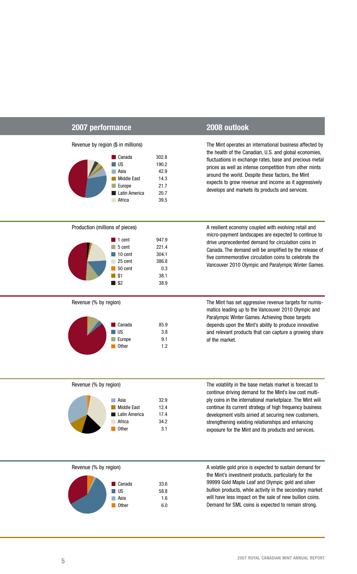| 2007 performance                                                                                                                                |                                                         | 2008 outlook                                                                                                                                                                                                                                                                                                                                                                                                    |
|-------------------------------------------------------------------------------------------------------------------------------------------------|---------------------------------------------------------|-----------------------------------------------------------------------------------------------------------------------------------------------------------------------------------------------------------------------------------------------------------------------------------------------------------------------------------------------------------------------------------------------------------------|
| Revenue by region (\$ in millions)<br><b>Canada</b><br>$\blacksquare$ US<br>Asia<br><b>Middle East</b><br>Europe<br>Latin America<br>Africa     | 302.8<br>190.2<br>42.9<br>14.3<br>21.7<br>20.7<br>39.5  | The Mint operates an international business affected by<br>the health of the Canadian, U.S. and global economies,<br>fluctuations in exchange rates, base and precious metal<br>prices as well as intense competition from other mints<br>around the world. Despite these factors, the Mint<br>expects to grow revenue and income as it aggressively<br>develops and markets its products and services.         |
| Production (millions of pieces)<br>$\blacksquare$ 1 cent<br>5 cent<br>$\blacksquare$ 10 cent<br>25 cent<br>50 cent<br>\$1<br>$\blacksquare$ \$2 | 947.9<br>221.4<br>304.1<br>386.8<br>0.3<br>38.1<br>38.9 | A resilient economy coupled with evolving retail and<br>micro-payment landscapes are expected to continue to<br>drive unprecedented demand for circulation coins in<br>Canada. The demand will be amplified by the release of<br>five commemorative circulation coins to celebrate the<br>Vancouver 2010 Olympic and Paralympic Winter Games.                                                                   |
| Revenue (% by region)<br><b>Canada</b><br>$\blacksquare$ US<br>$\blacksquare$ Europe<br>Other                                                   | 85.9<br>3.8<br>9.1<br>1.2                               | The Mint has set aggressive revenue targets for numis-<br>matics leading up to the Vancouver 2010 Olympic and<br>Paralympic Winter Games. Achieving those targets<br>depends upon the Mint's ability to produce innovative<br>and relevant products that can capture a growing share<br>of the market.                                                                                                          |
| Revenue (% by region)<br>Asia<br><b>Middle East</b><br>Latin America<br>Africa<br>Other                                                         | 32.9<br>12.4<br>17.4<br>34.2<br>3.1                     | The volatility in the base metals market is forecast to<br>continue driving demand for the Mint's low cost multi-<br>ply coins in the international marketplace. The Mint will<br>continue its current strategy of high frequency business<br>development visits aimed at securing new customers,<br>strengthening existing relationships and enhancing<br>exposure for the Mint and its products and services. |
| Revenue (% by region)<br><b>Canada</b><br><b>US</b><br>Asia<br>Other                                                                            | 33.6<br>58.8<br>1.6<br>6.0                              | A volatile gold price is expected to sustain demand for<br>the Mint's investment products, particularly for the<br>99999 Gold Maple Leaf and Olympic gold and silver<br>bullion products, while activity in the secondary market<br>will have less impact on the sale of new bullion coins.<br>Demand for SML coins is expected to remain strong.                                                               |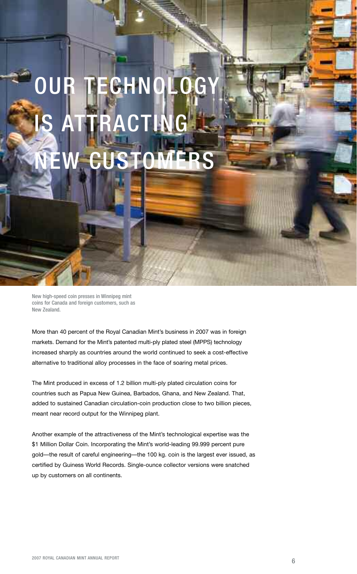# OUR TECHNOLOGY IS ATTRACTING NEW CUSTOMERS

New high-speed coin presses in Winnipeg mint coins for Canada and foreign customers, such as New Zealand.

More than 40 percent of the Royal Canadian Mint's business in 2007 was in foreign markets. Demand for the Mint's patented multi-ply plated steel (MPPS) technology increased sharply as countries around the world continued to seek a cost-effective alternative to traditional alloy processes in the face of soaring metal prices.

The Mint produced in excess of 1.2 billion multi-ply plated circulation coins for countries such as Papua New Guinea, Barbados, Ghana, and New Zealand. That, added to sustained Canadian circulation-coin production close to two billion pieces, meant near record output for the Winnipeg plant.

Another example of the attractiveness of the Mint's technological expertise was the \$1 Million Dollar Coin. Incorporating the Mint's world-leading 99.999 percent pure gold—the result of careful engineering—the 100 kg. coin is the largest ever issued, as certified by Guiness World Records. Single-ounce collector versions were snatched up by customers on all continents.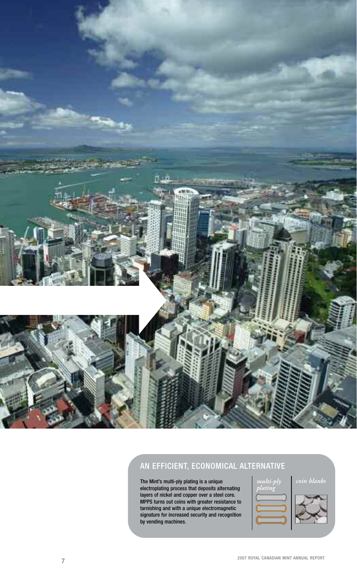

## AN EFFICIENT, ECONOMICAL ALTERNATIVE

The Mint's multi-ply plating is a unique electroplating process that deposits alternating layers of nickel and copper over a steel core. MPPS turns out coins with greater resistance to tarnishing and with a unique electromagnetic signature for increased security and recognition by vending machines.





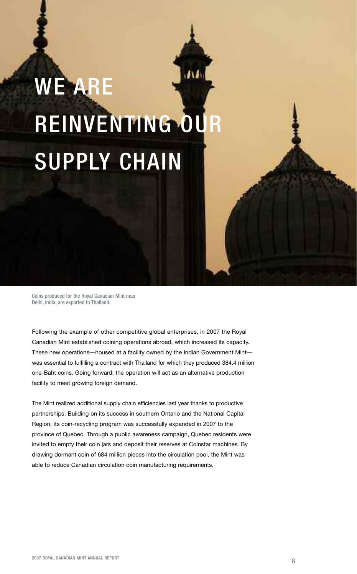# WE ARE REINVENTING OUR SUPPLY CHAIN

Coins produced for the Royal Canadian Mint near Delhi, India, are exported to Thailand.

Following the example of other competitive global enterprises, in 2007 the Royal Canadian Mint established coining operations abroad, which increased its capacity. These new operations—housed at a facility owned by the Indian Government Mint was essential to fulfilling a contract with Thailand for which they produced 384.4 million one-Baht coins. Going forward, the operation will act as an alternative production facility to meet growing foreign demand.

The Mint realized additional supply chain efficiencies last year thanks to productive partnerships. Building on its success in southern Ontario and the National Capital Region, its coin-recycling program was successfully expanded in 2007 to the province of Quebec. Through a public awareness campaign, Quebec residents were invited to empty their coin jars and deposit their reserves at Coinstar machines. By drawing dormant coin of 684 million pieces into the circulation pool, the Mint was able to reduce Canadian circulation coin manufacturing requirements.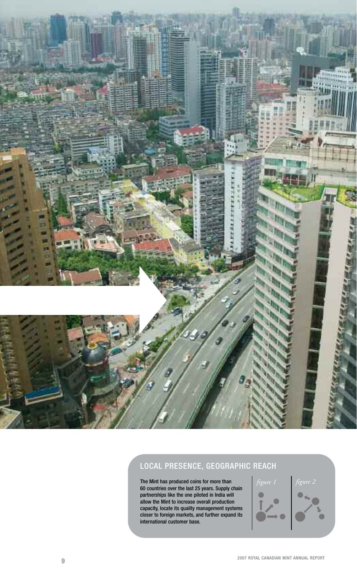

## LOCAL PRESENCE, GEOGRAPHIC REACH

The Mint has produced coins for more than 60 countries over the last 25 years. Supply chain partnerships like the one piloted in India will allow the Mint to increase overall production capacity, locate its quality management systems closer to foreign markets, and further expand its international customer base.

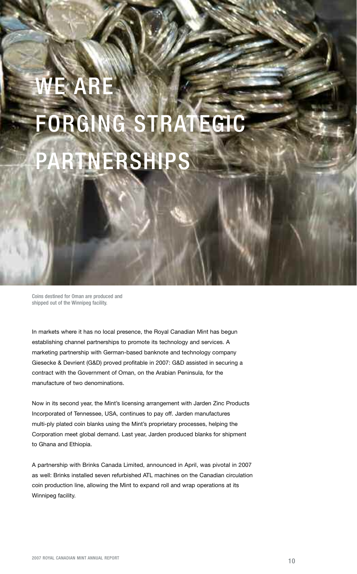# WE ARE FORGING STRATEGIC PARTNERSHIPS

Coins destined for Oman are produced and shipped out of the Winnipeg facility.

In markets where it has no local presence, the Royal Canadian Mint has begun establishing channel partnerships to promote its technology and services. A marketing partnership with German-based banknote and technology company Giesecke & Devrient (G&D) proved profitable in 2007: G&D assisted in securing a contract with the Government of Oman, on the Arabian Peninsula, for the manufacture of two denominations.

Now in its second year, the Mint's licensing arrangement with Jarden Zinc Products Incorporated of Tennessee, USA, continues to pay off. Jarden manufactures multi-ply plated coin blanks using the Mint's proprietary processes, helping the Corporation meet global demand. Last year, Jarden produced blanks for shipment to Ghana and Ethiopia.

A partnership with Brinks Canada Limited, announced in April, was pivotal in 2007 as well: Brinks installed seven refurbished ATL machines on the Canadian circulation coin production line, allowing the Mint to expand roll and wrap operations at its Winnipeg facility.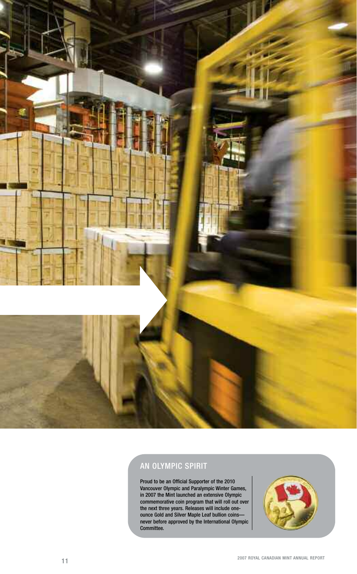

## AN OLYMPIC SPIRIT

Proud to be an Official Supporter of the 2010 Vancouver Olympic and Paralympic Winter Games, in 2007 the Mint launched an extensive Olympic commemorative coin program that will roll out over the next three years. Releases will include oneounce Gold and Silver Maple Leaf bullion coins never before approved by the International Olympic Committee.

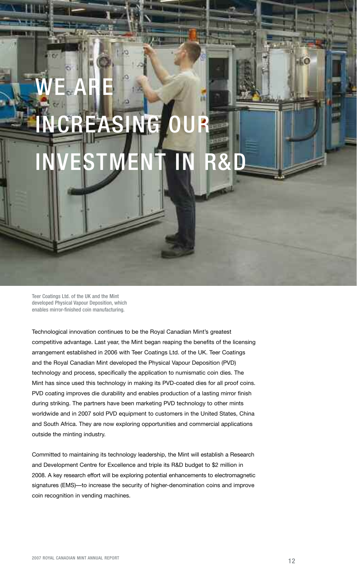# INCREASING OUR INVESTMENT IN R&D

Teer Coatings Ltd. of the UK and the Mint developed Physical Vapour Deposition, which enables mirror-finished coin manufacturing.

WE ARE

Technological innovation continues to be the Royal Canadian Mint's greatest competitive advantage. Last year, the Mint began reaping the benefits of the licensing arrangement established in 2006 with Teer Coatings Ltd. of the UK. Teer Coatings and the Royal Canadian Mint developed the Physical Vapour Deposition (PVD) technology and process, specifically the application to numismatic coin dies. The Mint has since used this technology in making its PVD-coated dies for all proof coins. PVD coating improves die durability and enables production of a lasting mirror finish during striking. The partners have been marketing PVD technology to other mints worldwide and in 2007 sold PVD equipment to customers in the United States, China and South Africa. They are now exploring opportunities and commercial applications outside the minting industry.

Committed to maintaining its technology leadership, the Mint will establish a Research and Development Centre for Excellence and triple its R&D budget to \$2 million in 2008. A key research effort will be exploring potential enhancements to electromagnetic signatures (EMS)—to increase the security of higher-denomination coins and improve coin recognition in vending machines.

đО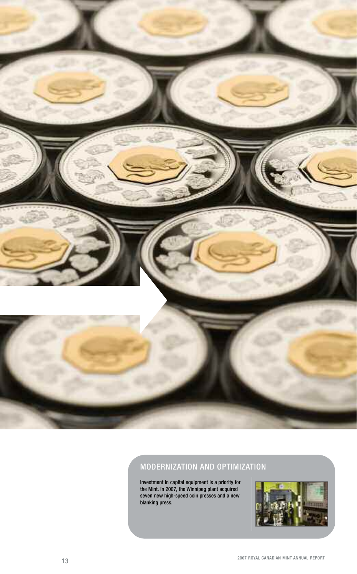

## MODERNIZATION AND OPTIMIZATION

Investment in capital equipment is a priority for the Mint. In 2007, the Winnipeg plant acquired seven new high-speed coin presses and a new blanking press.

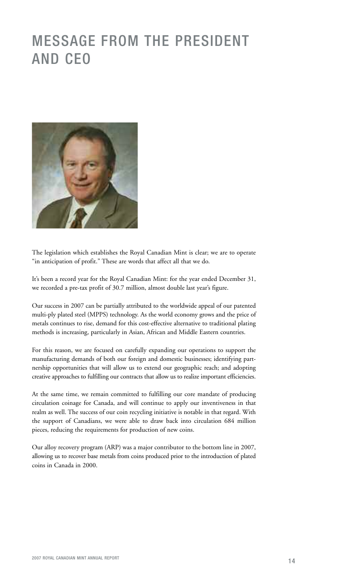# MESSAGE FROM THE PRESIDENT AND CEO



The legislation which establishes the Royal Canadian Mint is clear; we are to operate "in anticipation of profit." These are words that affect all that we do.

It's been a record year for the Royal Canadian Mint: for the year ended December 31, we recorded a pre-tax profit of 30.7 million, almost double last year's figure.

Our success in 2007 can be partially attributed to the worldwide appeal of our patented multi-ply plated steel (MPPS) technology. As the world economy grows and the price of metals continues to rise, demand for this cost-effective alternative to traditional plating methods is increasing, particularly in Asian, African and Middle Eastern countries.

For this reason, we are focused on carefully expanding our operations to support the manufacturing demands of both our foreign and domestic businesses; identifying partnership opportunities that will allow us to extend our geographic reach; and adopting creative approaches to fulfilling our contracts that allow us to realize important efficiencies.

At the same time, we remain committed to fulfilling our core mandate of producing circulation coinage for Canada, and will continue to apply our inventiveness in that realm as well. The success of our coin recycling initiative is notable in that regard. With the support of Canadians, we were able to draw back into circulation 684 million pieces, reducing the requirements for production of new coins.

Our alloy recovery program (ARP) was a major contributor to the bottom line in 2007, allowing us to recover base metals from coins produced prior to the introduction of plated coins in Canada in 2000.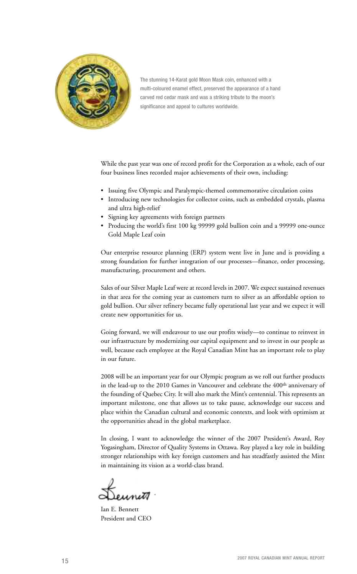

The stunning 14-Karat gold Moon Mask coin, enhanced with a multi-coloured enamel effect, preserved the appearance of a hand carved red cedar mask and was a striking tribute to the moon's significance and appeal to cultures worldwide.

While the past year was one of record profit for the Corporation as a whole, each of our four business lines recorded major achievements of their own, including:

- Issuing five Olympic and Paralympic-themed commemorative circulation coins
- Introducing new technologies for collector coins, such as embedded crystals, plasma and ultra high-relief
- Signing key agreements with foreign partners
- Producing the world's first 100 kg 99999 gold bullion coin and a 99999 one-ounce Gold Maple Leaf coin

Our enterprise resource planning (ERP) system went live in June and is providing a strong foundation for further integration of our processes—finance, order processing, manufacturing, procurement and others.

Sales of our Silver Maple Leaf were at record levels in 2007. We expect sustained revenues in that area for the coming year as customers turn to silver as an affordable option to gold bullion. Our silver refinery became fully operational last year and we expect it will create new opportunities for us.

Going forward, we will endeavour to use our profits wisely—to continue to reinvest in our infrastructure by modernizing our capital equipment and to invest in our people as well, because each employee at the Royal Canadian Mint has an important role to play in our future.

2008 will be an important year for our Olympic program as we roll out further products in the lead-up to the 2010 Games in Vancouver and celebrate the 400th anniversary of the founding of Quebec City. It will also mark the Mint's centennial. This represents an important milestone, one that allows us to take pause, acknowledge our success and place within the Canadian cultural and economic contexts, and look with optimism at the opportunities ahead in the global marketplace.

In closing, I want to acknowledge the winner of the 2007 President's Award, Roy Yogasingham, Director of Quality Systems in Ottawa. Roy played a key role in building stronger relationships with key foreign customers and has steadfastly assisted the Mint in maintaining its vision as a world-class brand.

Ian E. Bennett President and CEO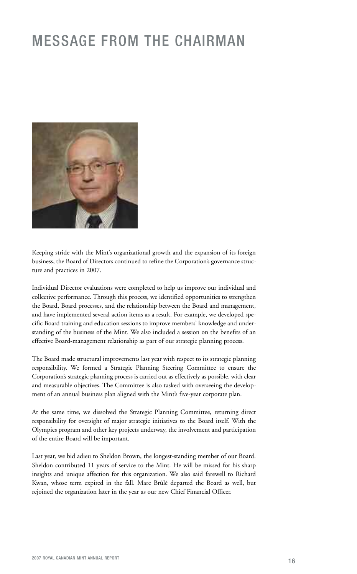# MESSAGE FROM THE CHAIRMAN



Keeping stride with the Mint's organizational growth and the expansion of its foreign business, the Board of Directors continued to refine the Corporation's governance structure and practices in 2007.

Individual Director evaluations were completed to help us improve our individual and collective performance. Through this process, we identified opportunities to strengthen the Board, Board processes, and the relationship between the Board and management, and have implemented several action items as a result. For example, we developed specific Board training and education sessions to improve members' knowledge and understanding of the business of the Mint. We also included a session on the benefits of an effective Board-management relationship as part of our strategic planning process.

The Board made structural improvements last year with respect to its strategic planning responsibility. We formed a Strategic Planning Steering Committee to ensure the Corporation's strategic planning process is carried out as effectively as possible, with clear and measurable objectives. The Committee is also tasked with overseeing the development of an annual business plan aligned with the Mint's five-year corporate plan.

At the same time, we dissolved the Strategic Planning Committee, returning direct responsibility for oversight of major strategic initiatives to the Board itself. With the Olympics program and other key projects underway, the involvement and participation of the entire Board will be important.

Last year, we bid adieu to Sheldon Brown, the longest-standing member of our Board. Sheldon contributed 11 years of service to the Mint. He will be missed for his sharp insights and unique affection for this organization. We also said farewell to Richard Kwan, whose term expired in the fall. Marc Brûlé departed the Board as well, but rejoined the organization later in the year as our new Chief Financial Officer.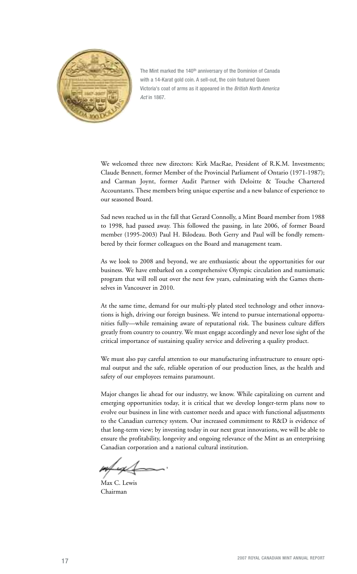

The Mint marked the 140<sup>th</sup> anniversary of the Dominion of Canada with a 14-Karat gold coin. A sell-out, the coin featured Queen Victoria's coat of arms as it appeared in the *British North America Act* in 1867.

We welcomed three new directors: Kirk MacRae, President of R.K.M. Investments; Claude Bennett, former Member of the Provincial Parliament of Ontario (1971-1987); and Carman Joynt, former Audit Partner with Deloitte & Touche Chartered Accountants. These members bring unique expertise and a new balance of experience to our seasoned Board.

Sad news reached us in the fall that Gerard Connolly, a Mint Board member from 1988 to 1998, had passed away. This followed the passing, in late 2006, of former Board member (1995-2003) Paul H. Bilodeau. Both Gerry and Paul will be fondly remembered by their former colleagues on the Board and management team.

As we look to 2008 and beyond, we are enthusiastic about the opportunities for our business. We have embarked on a comprehensive Olympic circulation and numismatic program that will roll out over the next few years, culminating with the Games themselves in Vancouver in 2010.

At the same time, demand for our multi-ply plated steel technology and other innovations is high, driving our foreign business. We intend to pursue international opportunities fully—while remaining aware of reputational risk. The business culture differs greatly from country to country. We must engage accordingly and never lose sight of the critical importance of sustaining quality service and delivering a quality product.

We must also pay careful attention to our manufacturing infrastructure to ensure optimal output and the safe, reliable operation of our production lines, as the health and safety of our employees remains paramount.

Major changes lie ahead for our industry, we know. While capitalizing on current and emerging opportunities today, it is critical that we develop longer-term plans now to evolve our business in line with customer needs and apace with functional adjustments to the Canadian currency system. Our increased commitment to R&D is evidence of that long-term view; by investing today in our next great innovations, we will be able to ensure the profitability, longevity and ongoing relevance of the Mint as an enterprising Canadian corporation and a national cultural institution.

Max C. Lewis Chairman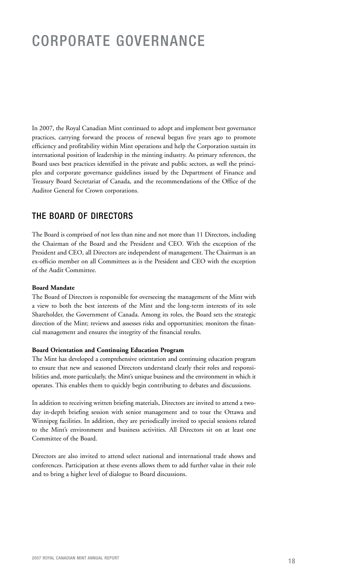# CORPORATE GOVERNANCE

In 2007, the Royal Canadian Mint continued to adopt and implement best governance practices, carrying forward the process of renewal begun five years ago to promote efficiency and profitability within Mint operations and help the Corporation sustain its international position of leadership in the minting industry. As primary references, the Board uses best practices identified in the private and public sectors, as well the principles and corporate governance guidelines issued by the Department of Finance and Treasury Board Secretariat of Canada, and the recommendations of the Office of the Auditor General for Crown corporations.

## THE BOARD OF DIRECTORS

The Board is comprised of not less than nine and not more than 11 Directors, including the Chairman of the Board and the President and CEO. With the exception of the President and CEO, all Directors are independent of management. The Chairman is an ex-officio member on all Committees as is the President and CEO with the exception of the Audit Committee.

#### **Board Mandate**

The Board of Directors is responsible for overseeing the management of the Mint with a view to both the best interests of the Mint and the long-term interests of its sole Shareholder, the Government of Canada. Among its roles, the Board sets the strategic direction of the Mint; reviews and assesses risks and opportunities; monitors the financial management and ensures the integrity of the financial results.

#### **Board Orientation and Continuing Education Program**

The Mint has developed a comprehensive orientation and continuing education program to ensure that new and seasoned Directors understand clearly their roles and responsibilities and, more particularly, the Mint's unique business and the environment in which it operates. This enables them to quickly begin contributing to debates and discussions.

In addition to receiving written briefing materials, Directors are invited to attend a twoday in-depth briefing session with senior management and to tour the Ottawa and Winnipeg facilities. In addition, they are periodically invited to special sessions related to the Mint's environment and business activities. All Directors sit on at least one Committee of the Board.

Directors are also invited to attend select national and international trade shows and conferences. Participation at these events allows them to add further value in their role and to bring a higher level of dialogue to Board discussions.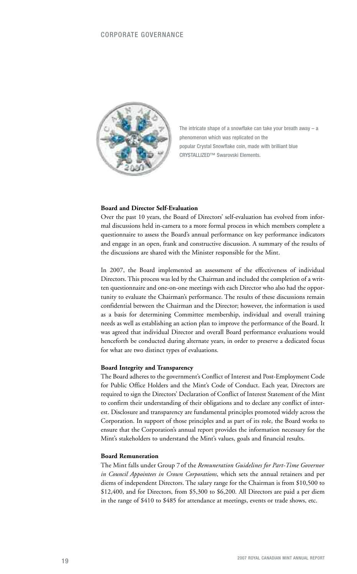

The intricate shape of a snowflake can take your breath away – a phenomenon which was replicated on the popular Crystal Snowflake coin, made with brilliant blue CRYSTALLIZED™ Swarovski Elements.

#### **Board and Director Self-Evaluation**

Over the past 10 years, the Board of Directors' self-evaluation has evolved from informal discussions held in-camera to a more formal process in which members complete a questionnaire to assess the Board's annual performance on key performance indicators and engage in an open, frank and constructive discussion. A summary of the results of the discussions are shared with the Minister responsible for the Mint.

In 2007, the Board implemented an assessment of the effectiveness of individual Directors. This process was led by the Chairman and included the completion of a written questionnaire and one-on-one meetings with each Director who also had the opportunity to evaluate the Chairman's performance. The results of these discussions remain confidential between the Chairman and the Director; however, the information is used as a basis for determining Committee membership, individual and overall training needs as well as establishing an action plan to improve the performance of the Board. It was agreed that individual Director and overall Board performance evaluations would henceforth be conducted during alternate years, in order to preserve a dedicated focus for what are two distinct types of evaluations.

#### **Board Integrity and Transparency**

The Board adheres to the government's Conflict of Interest and Post-Employment Code for Public Office Holders and the Mint's Code of Conduct. Each year, Directors are required to sign the Directors' Declaration of Conflict of Interest Statement of the Mint to confirm their understanding of their obligations and to declare any conflict of interest. Disclosure and transparency are fundamental principles promoted widely across the Corporation. In support of those principles and as part of its role, the Board works to ensure that the Corporation's annual report provides the information necessary for the Mint's stakeholders to understand the Mint's values, goals and financial results.

#### **Board Remuneration**

The Mint falls under Group 7 of the *Remuneration Guidelines for Part-Time Governor in Council Appointees in Crown Corporations*, which sets the annual retainers and per diems of independent Directors. The salary range for the Chairman is from \$10,500 to \$12,400, and for Directors, from \$5,300 to \$6,200. All Directors are paid a per diem in the range of \$410 to \$485 for attendance at meetings, events or trade shows, etc.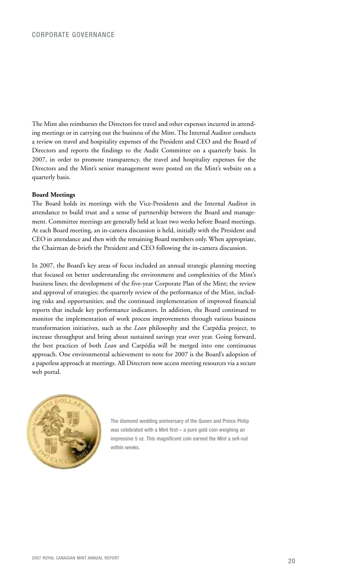The Mint also reimburses the Directors for travel and other expenses incurred in attending meetings or in carrying out the business of the Mint. The Internal Auditor conducts a review on travel and hospitality expenses of the President and CEO and the Board of Directors and reports the findings to the Audit Committee on a quarterly basis. In 2007, in order to promote transparency, the travel and hospitality expenses for the Directors and the Mint's senior management were posted on the Mint's website on a quarterly basis.

#### **Board Meetings**

The Board holds its meetings with the Vice-Presidents and the Internal Auditor in attendance to build trust and a sense of partnership between the Board and management. Committee meetings are generally held at least two weeks before Board meetings. At each Board meeting, an in-camera discussion is held, initially with the President and CEO in attendance and then with the remaining Board members only. When appropriate, the Chairman de-briefs the President and CEO following the in-camera discussion.

In 2007, the Board's key areas of focus included an annual strategic planning meeting that focused on better understanding the environment and complexities of the Mint's business lines; the development of the five-year Corporate Plan of the Mint; the review and approval of strategies; the quarterly review of the performance of the Mint, including risks and opportunities; and the continued implementation of improved financial reports that include key performance indicators. In addition, the Board continued to monitor the implementation of work process improvements through various business transformation initiatives, such as the *Lean* philosophy and the Carpédia project, to increase throughput and bring about sustained savings year over year. Going forward, the best practices of both *Lean* and Carpédia will be merged into one continuous approach. One environmental achievement to note for 2007 is the Board's adoption of a paperless approach at meetings. All Directors now access meeting resources via a secure web portal.



The diamond wedding anniversary of the Queen and Prince Philip was celebrated with a Mint first – a pure gold coin weighing an impressive 5 oz. This magnificent coin earned the Mint a sell-out within weeks.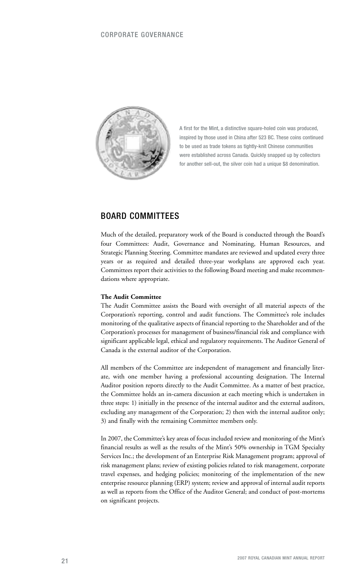

A first for the Mint, a distinctive square-holed coin was produced, inspired by those used in China after 523 BC. These coins continued to be used as trade tokens as tightly-knit Chinese communities were established across Canada. Quickly snapped up by collectors for another sell-out, the silver coin had a unique \$8 denomination.

### BOARD COMMITTEES

Much of the detailed, preparatory work of the Board is conducted through the Board's four Committees: Audit, Governance and Nominating, Human Resources, and Strategic Planning Steering. Committee mandates are reviewed and updated every three years or as required and detailed three-year workplans are approved each year. Committees report their activities to the following Board meeting and make recommendations where appropriate.

#### **The Audit Committee**

The Audit Committee assists the Board with oversight of all material aspects of the Corporation's reporting, control and audit functions. The Committee's role includes monitoring of the qualitative aspects of financial reporting to the Shareholder and of the Corporation's processes for management of business/financial risk and compliance with significant applicable legal, ethical and regulatory requirements. The Auditor General of Canada is the external auditor of the Corporation.

All members of the Committee are independent of management and financially literate, with one member having a professional accounting designation. The Internal Auditor position reports directly to the Audit Committee. As a matter of best practice, the Committee holds an in-camera discussion at each meeting which is undertaken in three steps: 1) initially in the presence of the internal auditor and the external auditors, excluding any management of the Corporation; 2) then with the internal auditor only; 3) and finally with the remaining Committee members only.

In 2007, the Committee's key areas of focus included review and monitoring of the Mint's financial results as well as the results of the Mint's 50% ownership in TGM Specialty Services Inc.; the development of an Enterprise Risk Management program; approval of risk management plans; review of existing policies related to risk management, corporate travel expenses, and hedging policies; monitoring of the implementation of the new enterprise resource planning (ERP) system; review and approval of internal audit reports as well as reports from the Office of the Auditor General; and conduct of post-mortems on significant projects.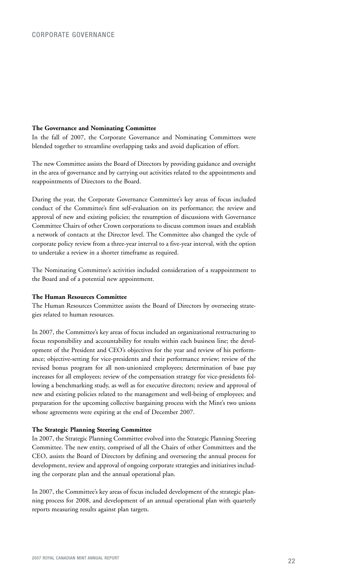#### **The Governance and Nominating Committee**

In the fall of 2007, the Corporate Governance and Nominating Committees were blended together to streamline overlapping tasks and avoid duplication of effort.

The new Committee assists the Board of Directors by providing guidance and oversight in the area of governance and by carrying out activities related to the appointments and reappointments of Directors to the Board.

During the year, the Corporate Governance Committee's key areas of focus included conduct of the Committee's first self-evaluation on its performance; the review and approval of new and existing policies; the resumption of discussions with Governance Committee Chairs of other Crown corporations to discuss common issues and establish a network of contacts at the Director level. The Committee also changed the cycle of corporate policy review from a three-year interval to a five-year interval, with the option to undertake a review in a shorter timeframe as required.

The Nominating Committee's activities included consideration of a reappointment to the Board and of a potential new appointment.

#### **The Human Resources Committee**

The Human Resources Committee assists the Board of Directors by overseeing strategies related to human resources.

In 2007, the Committee's key areas of focus included an organizational restructuring to focus responsibility and accountability for results within each business line; the development of the President and CEO's objectives for the year and review of his performance; objective-setting for vice-presidents and their performance review; review of the revised bonus program for all non-unionized employees; determination of base pay increases for all employees; review of the compensation strategy for vice-presidents following a benchmarking study, as well as for executive directors; review and approval of new and existing policies related to the management and well-being of employees; and preparation for the upcoming collective bargaining process with the Mint's two unions whose agreements were expiring at the end of December 2007.

#### **The Strategic Planning Steering Committee**

In 2007, the Strategic Planning Committee evolved into the Strategic Planning Steering Committee. The new entity, comprised of all the Chairs of other Committees and the CEO, assists the Board of Directors by defining and overseeing the annual process for development, review and approval of ongoing corporate strategies and initiatives including the corporate plan and the annual operational plan.

In 2007, the Committee's key areas of focus included development of the strategic planning process for 2008, and development of an annual operational plan with quarterly reports measuring results against plan targets.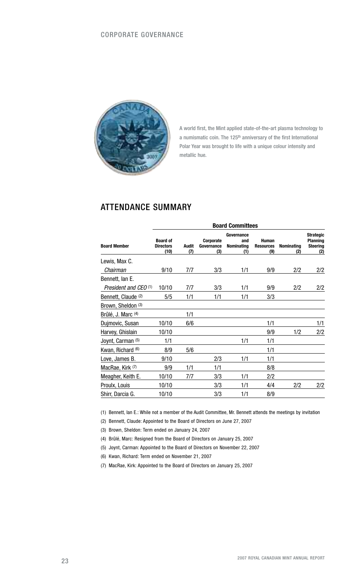

A world first, the Mint applied state-of-the-art plasma technology to a numismatic coin. The 125<sup>th</sup> anniversary of the first International Polar Year was brought to life with a unique colour intensity and metallic hue.

## ATTENDANCE SUMMARY

|                                  |                                             |              |                                | <b>Board Committees</b>                |                                  |                          |                                                               |
|----------------------------------|---------------------------------------------|--------------|--------------------------------|----------------------------------------|----------------------------------|--------------------------|---------------------------------------------------------------|
| <b>Board Member</b>              | <b>Board of</b><br><b>Directors</b><br>(10) | Audit<br>(7) | Corporate<br>Governance<br>(3) | Governance<br>and<br>Nominating<br>(1) | Human<br><b>Resources</b><br>(9) | <b>Nominating</b><br>(2) | <b>Strategic</b><br><b>Planning</b><br><b>Steering</b><br>(2) |
| Lewis, Max C.                    |                                             |              |                                |                                        |                                  |                          |                                                               |
| Chairman                         | 9/10                                        | 7/7          | 3/3                            | 1/1                                    | 9/9                              | 2/2                      | 2/2                                                           |
| Bennett, Ian E.                  |                                             |              |                                |                                        |                                  |                          |                                                               |
| President and CEO <sup>(1)</sup> | 10/10                                       | 7/7          | 3/3                            | 1/1                                    | 9/9                              | 2/2                      | 2/2                                                           |
| Bennett, Claude (2)              | 5/5                                         | 1/1          | 1/1                            | 1/1                                    | 3/3                              |                          |                                                               |
| Brown, Sheldon (3)               |                                             |              |                                |                                        |                                  |                          |                                                               |
| Brûlé, J. Marc <sup>(4)</sup>    |                                             | 1/1          |                                |                                        |                                  |                          |                                                               |
| Dujmovic, Susan                  | 10/10                                       | 6/6          |                                |                                        | 1/1                              |                          | 1/1                                                           |
| Harvey, Ghislain                 | 10/10                                       |              |                                |                                        | 9/9                              | 1/2                      | 2/2                                                           |
| Joynt, Carman (5)                | 1/1                                         |              |                                | 1/1                                    | 1/1                              |                          |                                                               |
| Kwan, Richard (6)                | 8/9                                         | 5/6          |                                |                                        | 1/1                              |                          |                                                               |
| Love, James B.                   | 9/10                                        |              | 2/3                            | 1/1                                    | 1/1                              |                          |                                                               |
| MacRae, Kirk (7)                 | 9/9                                         | 1/1          | 1/1                            |                                        | 8/8                              |                          |                                                               |
| Meagher, Keith E.                | 10/10                                       | 7/7          | 3/3                            | 1/1                                    | 2/2                              |                          |                                                               |
| Proulx, Louis                    | 10/10                                       |              | 3/3                            | 1/1                                    | 4/4                              | 2/2                      | 2/2                                                           |
| Shirr, Darcia G.                 | 10/10                                       |              | 3/3                            | 1/1                                    | 8/9                              |                          |                                                               |

(1) Bennett, Ian E.: While not a member of the Audit Committee, Mr. Bennett attends the meetings by invitation

(2) Bennett, Claude: Appointed to the Board of Directors on June 27, 2007

(3) Brown, Sheldon: Term ended on January 24, 2007

(4) Brûlé, Marc: Resigned from the Board of Directors on January 25, 2007

(5) Joynt, Carman: Appointed to the Board of Directors on November 22, 2007

(6) Kwan, Richard: Term ended on November 21, 2007

(7) MacRae, Kirk: Appointed to the Board of Directors on January 25, 2007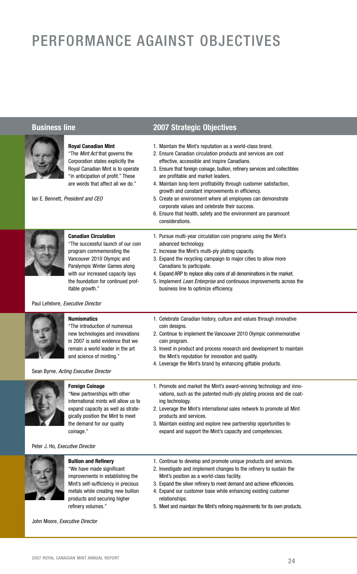# PERFORMANCE AGAINST OBJECTIVES

#### **Business line**



**Royal Canadian Mint** "The *Mint Act* that governs the Corporation states explicitly the Royal Canadian Mint is to operate "in anticipation of profit." These are words that affect all we do."

Ian E. Bennett, *President and CEO*

## **2007 Strategic Objectives**

advanced technology.

Canadians to participate.

coin designs.

coin program.

- 1. Maintain the Mint's reputation as a world-class brand.
- 2. Ensure Canadian circulation products and services are cost effective, accessible and inspire Canadians.
- 3. Ensure that foreign coinage, bullion, refinery services and collectibles are profitable and market leaders.
- 4. Maintain long-term profitability through customer satisfaction, growth and constant improvements in efficiency.
- 5. Create an environment where all employees can demonstrate corporate values and celebrate their success.
- 6. Ensure that health, safety and the environment are paramount considerations.

1. Pursue multi-year circulation coin programs using the Mint's

3. Expand the recycling campaign to major cities to allow more

4. Expand ARP to replace alloy coins of all denominations in the market. 5. Implement *Lean Enterprise* and continuous improvements across the

1. Celebrate Canadian history, culture and values through innovative

2. Continue to implement the Vancouver 2010 Olympic commemorative

3. Invest in product and process research and development to maintain

the Mint's reputation for innovation and quality. 4. Leverage the Mint's brand by enhancing giftable products.

2. Increase the Mint's multi-ply plating capacity.

business line to optimize efficiency.



#### **Canadian Circulation**

"The successful launch of our coin program commemorating the Vancouver 2010 Olympic and Paralympic Winter Games along with our increased capacity lays the foundation for continued profitable growth."

#### Paul Lefebvre, *Executive Director*



## "The introduction of numerous

**Numismatics** 

new technologies and innovations in 2007 is solid evidence that we remain a world leader in the art and science of minting."

Sean Byrne, *Acting Executive Director*



#### **Foreign Coinage**

"New partnerships with other international mints will allow us to expand capacity as well as strategically position the Mint to meet the demand for our quality coinage."

- 1. Promote and market the Mint's award-winning technology and innovations, such as the patented multi-ply plating process and die coating technology. 2. Leverage the Mint's international sales network to promote all Mint
- products and services. 3. Maintain existing and explore new partnership opportunities to
- expand and support the Mint's capacity and competencies.

Peter J. Ho, *Executive Director*



**Bullion and Refinery**

"We have made significant improvements in establishing the Mint's self-sufficiency in precious metals while creating new bullion products and securing higher refinery volumes."

- 1. Continue to develop and promote unique products and services. 2. Investigate and implement changes to the refinery to sustain the Mint's position as a world-class facility.
- 3. Expand the silver refinery to meet demand and achieve efficiencies.
- 4. Expand our customer base while enhancing existing customer relationships.
- 5. Meet and maintain the Mint's refining requirements for its own products.

John Moore, *Executive Director*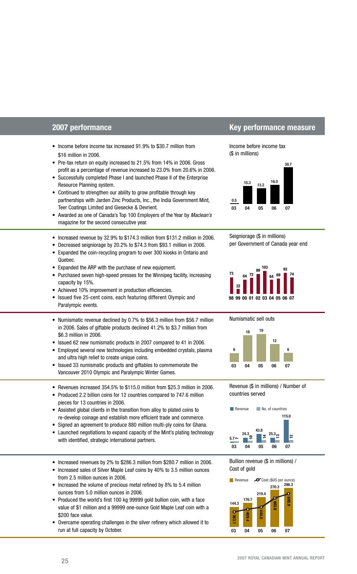### **2007 performance**

- Income before income tax increased 91.9% to \$30.7 million from \$16 million in 2006.
- Pre-tax return on equity increased to 21.5% from 14% in 2006. Gross profit as a percentage of revenue increased to 23.0% from 20.6% in 2006.
- Successfully completed Phase I and launched Phase II of the Enterprise Resource Planning system.
- Continued to strengthen our ability to grow profitable through key partnerships with Jarden Zinc Products, Inc., the India Government Mint, Teer Coatings Limited and Giesecke & Devrient.
- Awarded as one of Canada's Top 100 Employers of the Year by *Maclean's* magazine for the second consecutive year.
- Increased revenue by 32.9% to \$174.3 million from \$131.2 million in 2006.
- Decreased seigniorage by 20.2% to \$74.3 from \$93.1 million in 2006. • Expanded the coin-recycling program to over 300 kiosks in Ontario and
- Quebec.
- Expanded the ARP with the purchase of new equipment.
- Purchased seven high-speed presses for the Winnipeg facility, increasing capacity by 15%.
- Achieved 10% improvement in production efficiencies.
- Issued five 25-cent coins, each featuring different Olympic and Paralympic events.
- Numismatic revenue declined by 0.7% to \$56.3 million from \$56.7 million in 2006. Sales of giftable products declined 41.2% to \$3.7 million from \$6.3 million in 2006.
- Issued 62 new numismatic products in 2007 compared to 41 in 2006.
- Employed several new technologies including embedded crystals, plasma and ultra high relief to create unique coins.
- Issued 33 numismatic products and giftables to commemorate the Vancouver 2010 Olympic and Paralympic Winter Games.
- Revenues increased 354.5% to \$115.0 million from \$25.3 million in 2006.
- Produced 2.2 billion coins for 12 countries compared to 747.6 million pieces for 13 countries in 2006.
- Assisted global clients in the transition from alloy to plated coins to re-develop coinage and establish more efficient trade and commerce.
- Signed an agreement to produce 880 million multi-ply coins for Ghana.
- Launched negotiations to expand capacity of the Mint's plating technology with identified, strategic international partners.
- Increased revenues by 2% to \$286.3 million from \$280.7 million in 2006.
- Increased sales of Silver Maple Leaf coins by 40% to 3.5 million ounces from 2.5 million ounces in 2006.
- Increased the volume of precious metal refined by 8% to 5.4 million ounces from 5.0 million ounces in 2006.
- Produced the world's first 100 kg 99999 gold bullion coin, with a face value of \$1 million and a 99999 one-ounce Gold Maple Leaf coin with a \$200 face value.
- Overcame operating challenges in the silver refinery which allowed it to run at full capacity by October.

# **Key performance measure 16.0 03 04 bridge**<br>Drman **0 7**

**30.7**

Income before income tax (\$ in millions) **15.3 13.2 dey pe Side 1**<br>03 04<br>04 04 04 05 05 06 06 07 **orman**<br>Princome



Seigniorage

Seigniorage

Seigniorage (\$ in millions) **98 99 00 01 02 03 04 05 06** *per Government of Canada year end* per Government of Canada ye







**6 6**

**6 6**

Foreign circulation revenue

Revenue (\$ in millions) / Number of Revenue countries served





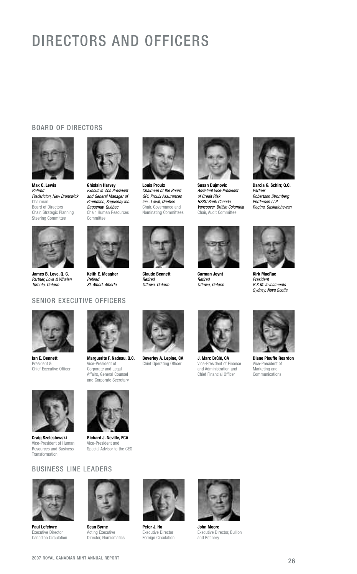# DIRECTORS AND OFFICERS

#### BOARD OF DIRECTORS



**Max C. Lewis** *Retired Fredericton, New Brunswick* Chairma Board of Directors Chair, Strategic Planning Steering Committee



**James B. Love, Q. C.** *Partner, Love & Whalen Toronto, Ontario*



**Ghislain Harvey** *Executive Vice President and General Manager of Promotion, Saguenay Inc. Saguenay, Québec* Chair, Human Resources **Committee** 



**Keith E. Meagher** *Retired St. Albert, Alberta*

#### SENIOR EXECUTIVE OFFICERS



**Louis Proulx** *Chairman of the Board GPL Proulx Assurances inc., Laval, Québec* mer, Larar, accessored and Nominating Committees



**Claude Bennett** *Retired Ottawa, Ontario*



**Susan Dujmovic** *Assistant Vice-President of Credit Risk HSBC Bank Canada Vancouver, British Columbia* Chair, Audit Committee



**Carman Joynt** *Retired Ottawa, Ontario*



**Darcia G. Schirr, Q.C.** *Partner Robertson Stromberg Perdersen LLP Regina, Saskatchewan*



**Kirk MacRae** *President R.K.M. Investments Sydney, Nova Scotia*



**Ian E. Bennett** President & Chief Executive Officer



**Marguerite F. Nadeau, Q.C.** Vice-President of Corporate and Legal Affairs, General Counsel and Corporate Secretary



**Beverley A. Lepine, CA** Chief Operating Officer



**J. Marc Brûlé, CA** Vice-President of Finance and Administration and Chief Financial Officer



**Diane Plouffe Reardon** Vice-President of Marketing and Communications



**Craig Szelestowski** Vice-President of Human Resources and Business Transformation



**Richard J. Neville, FCA** Vice-President and Special Advisor to the CEO

#### BUSINESS LINE LEADERS



**Paul Lefebvre** Executive Director Canadian Circulation



**Sean Byrne** Acting Executive Director, Numismatics



**Peter J. Ho** Executive Director Foreign Circulation



Executive Director, Bullion and Refinery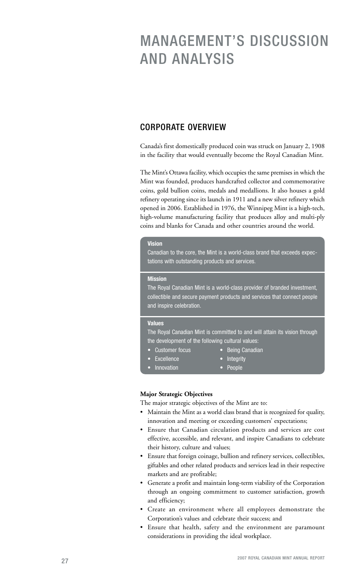# MANAGEMENT'S DISCUSSION AND ANALYSIS

## CORPORATE OVERVIEW

Canada's first domestically produced coin was struck on January 2, 1908 in the facility that would eventually become the Royal Canadian Mint.

The Mint's Ottawa facility, which occupies the same premises in which the Mint was founded, produces handcrafted collector and commemorative coins, gold bullion coins, medals and medallions. It also houses a gold refinery operating since its launch in 1911 and a new silver refinery which opened in 2006. Established in 1976, the Winnipeg Mint is a high-tech, high-volume manufacturing facility that produces alloy and multi-ply coins and blanks for Canada and other countries around the world.

#### **Vision**

Canadian to the core, the Mint is a world-class brand that exceeds expectations with outstanding products and services.

#### **Mission**

The Royal Canadian Mint is a world-class provider of branded investment, collectible and secure payment products and services that connect people and inspire celebration.

#### **Values**

The Royal Canadian Mint is committed to and will attain its vision through the development of the following cultural values:

- 
- Customer focus Being Canadian
- 
- **Excellence Integrity** 
	- Innovation People
- -

#### **Major Strategic Objectives**

The major strategic objectives of the Mint are to:

- Maintain the Mint as a world class brand that is recognized for quality, innovation and meeting or exceeding customers' expectations;
- Ensure that Canadian circulation products and services are cost effective, accessible, and relevant, and inspire Canadians to celebrate their history, culture and values;
- Ensure that foreign coinage, bullion and refinery services, collectibles, giftables and other related products and services lead in their respective markets and are profitable;
- Generate a profit and maintain long-term viability of the Corporation through an ongoing commitment to customer satisfaction, growth and efficiency;
- Create an environment where all employees demonstrate the Corporation's values and celebrate their success; and
- Ensure that health, safety and the environment are paramount considerations in providing the ideal workplace.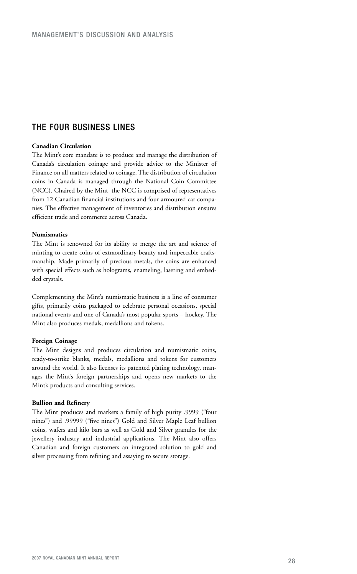## THE FOUR BUSINESS LINES

#### **Canadian Circulation**

The Mint's core mandate is to produce and manage the distribution of Canada's circulation coinage and provide advice to the Minister of Finance on all matters related to coinage. The distribution of circulation coins in Canada is managed through the National Coin Committee (NCC). Chaired by the Mint, the NCC is comprised of representatives from 12 Canadian financial institutions and four armoured car companies. The effective management of inventories and distribution ensures efficient trade and commerce across Canada.

#### **Numismatics**

The Mint is renowned for its ability to merge the art and science of minting to create coins of extraordinary beauty and impeccable craftsmanship. Made primarily of precious metals, the coins are enhanced with special effects such as holograms, enameling, lasering and embedded crystals.

Complementing the Mint's numismatic business is a line of consumer gifts, primarily coins packaged to celebrate personal occasions, special national events and one of Canada's most popular sports – hockey. The Mint also produces medals, medallions and tokens.

#### **Foreign Coinage**

The Mint designs and produces circulation and numismatic coins, ready-to-strike blanks, medals, medallions and tokens for customers around the world. It also licenses its patented plating technology, manages the Mint's foreign partnerships and opens new markets to the Mint's products and consulting services.

#### **Bullion and Refinery**

The Mint produces and markets a family of high purity .9999 ("four nines") and .99999 ("five nines") Gold and Silver Maple Leaf bullion coins, wafers and kilo bars as well as Gold and Silver granules for the jewellery industry and industrial applications. The Mint also offers Canadian and foreign customers an integrated solution to gold and silver processing from refining and assaying to secure storage.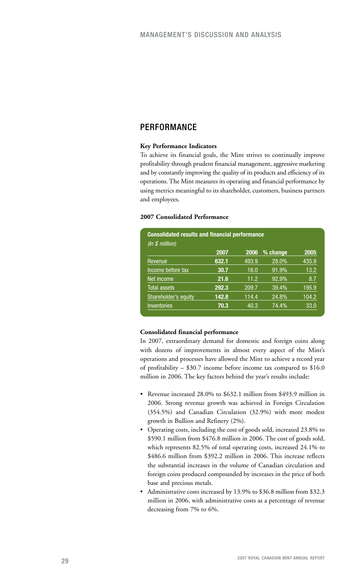## **PERFORMANCE**

#### **Key Performance Indicators**

To achieve its financial goals, the Mint strives to continually improve profitability through prudent financial management, aggressive marketing and by constantly improving the quality of its products and efficiency of its operations. The Mint measures its operating and financial performance by using metrics meaningful to its shareholder, customers, business partners and employees.

#### **2007 Consolidated Performance**

| <b>Consolidated results and financial performance</b><br>(In \$ million) |       |       |          |       |  |
|--------------------------------------------------------------------------|-------|-------|----------|-------|--|
|                                                                          | 2007  | 2006  | % change | 2005  |  |
| Revenue                                                                  | 632.1 | 493.9 | 28.0%    | 435.9 |  |
| Income before tax                                                        | 30.7  | 16.0  | 91.9%    | 13.2  |  |
| Net income                                                               | 21.6  | 11.2  | 92.9%    | 8.7   |  |
| <b>Total assets</b>                                                      | 292.3 | 209.7 | 39.4%    | 195.9 |  |
| Shareholder's equity                                                     | 142.8 | 114.4 | 24.8%    | 104.2 |  |
| <b>Inventories</b>                                                       | 70.3  | 40.3  | 74.4%    | 33.0  |  |

#### **Consolidated financial performance**

In 2007, extraordinary demand for domestic and foreign coins along with dozens of improvements in almost every aspect of the Mint's operations and processes have allowed the Mint to achieve a record year of profitability – \$30.7 income before income tax compared to \$16.0 million in 2006. The key factors behind the year's results include:

- Revenue increased 28.0% to \$632.1 million from \$493.9 million in 2006. Strong revenue growth was achieved in Foreign Circulation (354.5%) and Canadian Circulation (32.9%) with more modest growth in Bullion and Refinery (2%).
- Operating costs, including the cost of goods sold, increased 23.8% to \$590.1 million from \$476.8 million in 2006. The cost of goods sold, which represents 82.5% of total operating costs, increased 24.1% to \$486.6 million from \$392.2 million in 2006. This increase reflects the substantial increases in the volume of Canadian circulation and foreign coins produced compounded by increases in the price of both base and precious metals.
- Administrative costs increased by 13.9% to \$36.8 million from \$32.3 million in 2006, with administrative costs as a percentage of revenue decreasing from 7% to 6%.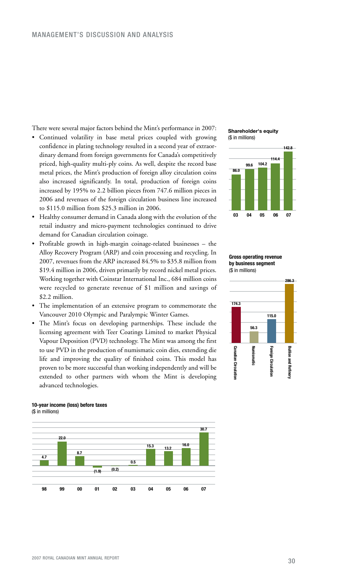There were several major factors behind the Mint's performance in 2007:

- Continued volatility in base metal prices coupled with growing  $\mathbf{r}$  confidence in plating technology resulted in a second year of extraordinary demand from foreign governments for Canada's competitively priced, high-quality multi-ply coins. As well, despite the record base **11** metal prices, the Mint's production of foreign alloy circulation coins **9 9** also increased significantly. In total, production of foreign coins **9** increased by 195% to 2.2 billion pieces from 747.6 million pieces in **6.** 2006 and revenues of the foreign circulation business line increased **43.8 4 4** to \$115.0 million from \$25.3 million in 2006. **EXECTE THE CONSTRANT CONSTRANT ON THE CONSTRANT ON SURFAMORE SCENE (SIGNATION CONSTRANT) IN SURFAMORE THE PRESS CONSTRANT ON THE CONSTRANT CONSTRANT ON THE CONSTRANT ON THE CONSTRANT ON THE CONSTRANT ON THE CONSTRANT ON T**
- Healthy consumer demand in Canada along with the evolution of the retail industry and micro-payment technologies continued to drive demand for Canadian circulation coinage.
- Profitable growth in high-margin coinage-related businesses the Alloy Recovery Program (ARP) and coin processing and recycling. In 2007, revenues from the ARP increased 84.5% to \$35.8 million from \$19.4 million in 2006, driven primarily by record nickel metal prices. (\$ in millions) Working together with Coinstar International Inc., 684 million coins were recycled to generate revenue of \$1 million and savings of \$2.2 million. **as a percentage o** Frem technologies<br>
in coinage.<br>
<u>in coinage-relate</u><br>
and coin processin<br>
increased 84.5% to<br>
inmarily by record<br>
International Inc<br>
enue of \$1 millions
- The implementation of an extensive program to commemorate the Vancouver 2010 Olympic and Paralympic Winter Games. **131 2**
- The Mint's focus on developing partnerships. These include the licensing agreement with Teer Coatings Limited to market Physical **68.7** Vapour Deposition (PVD) technology. The Mint was among the first **6%** to use PVD in the production of numismatic coin dies, extending die **06** life and improving the quality of finished coins. This model has proven to be more successful than working independently and will be extended to other partners with whom the Mint is developing advanced technologies. mand for Canadian creculaton conage-<br>
of itable growth in high-margin coinage-related businesses – the<br>
loy Recovery Program (ARP) and coin processing and recycling. In<br>
07, revenues from the ARP increased 84.5% to \$35.8 m **4 a 2 (PVD) technology** e of \$1 million and<br>we program to comme<br>lympic Winter Games<br>partnerships. These i<br>tings Limited to mark<br>agy. The Mint was amo<br>umismatic coin dies, ex<br>finished coins. This life and i<br>proven to<br>extended<br>advanced<br>**10-year incom**<br>(\$ in millions) **numismatic coin**<br>of finished coin<br>working indepe<br>h whom the M





#### **Gross operating revenue by business segment** (\$ in millions)



#### **0-year income loss be ore taxes** \$ in millions) **Canadian circulation coin**

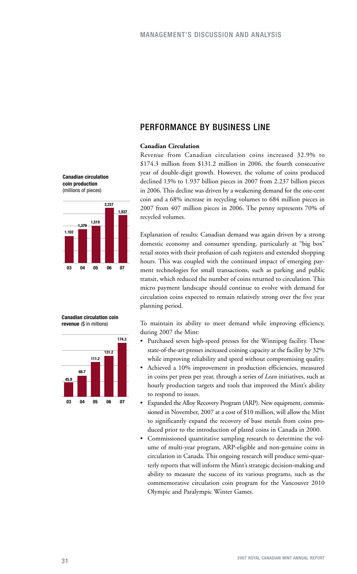## PERFORMANCE BY BUSINESS LINE

#### **Canadian Circulation**

Revenue from Canadian circulation coins increased 32.9% to \$174.3 million from \$131.2 million in 2006, the fourth consecutive year of double-digit growth. However, the volume of coins produced declined 13% to 1.937 billion pieces in 2007 from 2.237 billion pieces in 2006. This decline was driven by a weakening demand for the one-cent coin and a 68% increase in recycling volumes to 684 million pieces in 2007 from 407 million pieces in 2006. The penny represents 70% of **99.6 104 2 86.0 174 3** recycled volumes.  $\sum_{i=1}^{n}$ **b** of coing **product**  $\frac{1}{2}$  or comp

Explanation of results: Canadian demand was again driven by a strong **56.3** domestic economy and consumer spending, particularly at "big box" retail stores with their profusion of cash registers and extended shopping **06** retail stores with their profusion of cash registers and extended shopping<br>hours. This was coupled with the continued impact of emerging payment technologies for small transactions, such as parking and public transit, which reduced the number of coins returned to circulation. This micro payment landscape should continue to evolve with demand for circulation coins expected to remain relatively strong over the five year planning period. ash registers and exeortinued impact<br>crions, such as pa<br>f coins returned to<br>ontinue to evolve<br>a relatively strong<br>mand while imp ontinued impact<br>tions, such as pa<br>f coins returned to<br>ntinue to evolve<br>relatively strong<br>emand while imp **1938**<br>**1939** increase in recycling to the set of results: Canadian do<br>nomy and consumer<br>tith their profusion of cosas coupled with the logies for small transa **was coupled we**<br>**sologies for sma**<br>**ch** reduced the r<br>**nent landscape s**<br>coins expected t<br>riod.<br>**n** its ability to<br>7 the Mint: Extract of emerging pay<br>
parking and public to circulation. The<br>
vector with demand for the search of the search<br>
pay over the five year<br>
payrooving efficiency **Circulation u**<br>a **Circulation**

To maintain its ability to meet demand while improving efficiency, during 2007 the Mint:

- Purchased seven high-speed presses for the Winnipeg facility. These state-of-the-art presses increased coining capacity at the facility by 32% **5 9 6.0 6.3** while improving reliability and speed without compromising quality.
- Achieved a 10% improvement in production efficiencies, measured **285.8 <sup>329</sup> <sup>3</sup> 296.1 3 2** in coins per press per year, through a series of *Lean* initiatives, such as **237.6** hourly production targets and tools that improved the Mint's ability to respond to issues. S for the Winnipeg facting capacity at the facil<br>ed without compromisity production efficiencies<br>a series of *Lean* initiatives that improved the M<br>m (ARP). New equipment of \$10 million, will allo **1312**<br>
1312<br>
1312<br>
1312<br>
1312<br>
1312<br>
1312<br>
1312<br>
1312<br>
1312<br>
1312<br>
1312<br>
1312<br>
1312<br>
1312<br>
1312<br>
1312<br>
1312<br>
1312<br>
1312<br>
1312<br>
1312<br>
1312<br>
1312<br>
1312<br>
1312<br>
1312<br>
1312<br>
1312<br>
1312<br>
1312<br>
1410<br>
1410<br>
1010<br>
1010<br>
1010<br>
1310
	- Expanded the Alloy Recovery Program (ARP). New equipment, commis-**06** sioned in November, 2007 at a cost of \$10 million, will allow the Mint to significantly expand the recovery of base metals from coins produced prior to the introduction of plated coins in Canada in 2000.
- Commissioned quantitative sampling research to determine the volume of multi-year program, ARP-eligible and non-genuine coins in circulation in Canada. This ongoing research will produce semi-quar**terly reports that will inform the Mint's strategic decision-making and** ability to measure the success of its various programs, such as the commemorative circulation coin program for the Vancouver 2010 **276.0 270 3** Olympic and Paralympic Winter Games. **93 9 9 12 of the set of the Vancouver of the Vancouver of the Vancouver of the Vancouver of the Vancouver of the Vancouver of the Vancouver of the Vancouver of the Vancouver of the Vancouver of the Vancouver of the Vancouver of** Olympic and Paralympic Winter Games.<br>
2007 ROYAL CANADIAN MINT ANNUAL REPORT





#### **revenue** (\$ in millions) **Canadian circulation coin**

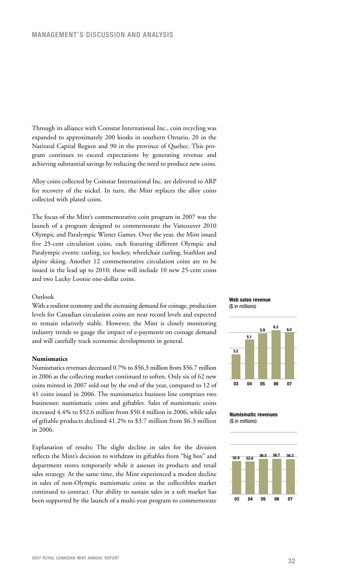Through its alliance with Coinstar International Inc., coin recycling was expanded to approximately 200 kiosks in southern Ontario, 20 in the National Capital Region and 90 in the province of Quebec. This program continues to exceed expectations by generating revenue and achieving substantial savings by reducing the need to produce new coins.

Alloy coins collected by Coinstar International Inc. are delivered to ARP for recovery of the nickel. In turn, the Mint replaces the alloy coins collected with plated coins.

The focus of the Mint's commemorative coin program in 2007 was the launch of a program designed to commemorate the Vancouver 2010 Olympic and Paralympic Winter Games. Over the year, the Mint issued five 25-cent circulation coins, each featuring different Olympic and Paralympic events: curling, ice hockey, wheelchair curling, biathlon and alpine skiing. Another 12 commemorative circulation coins are to be issued in the lead up to 2010; these will include 10 new 25-cent coins and two Lucky Loonie one-dollar coins. reven tradining directory, wheelchair cu<br>morative circulati<br>se will include 10<br>coins.<br>reasing demand for<br>ns are near record<br>wer, the Mint is  $\sum_{k=1}^{\infty}$ 

#### Outlook

With a resilient economy and the increasing demand for coinage, production **99.6 104 2 86.0** levels for Canadian circulation coins are near record levels and expected to remain relatively stable. However, the Mint is closely monitoring **174 3** industry trends to gauge the impact of e-payments on coinage demand **131 2** and will carefully track economic developments in general. Imp demand for coinage,<br>
re near record levels an<br>
the Mint is closely<br>
f e-payments on coina<br>
lopments in general.<br>
o \$56.3 million from \$5

#### **Numismatics**

Numismatics revenues decreased 0.7% to \$56.3 million from \$56.7 million in 2006 as the collecting market continued to soften. Only six of 62 new coins minted in 2007 sold out by the end of the year, compared to 12 of 41 coins issued in 2006. The numismatics business line comprises two businesses: numismatic coins and giftables. Sales of numismatic coins increased 4.4% to \$52.6 million from \$50.4 million in 2006, while sales of giftable products declined 41.2% to \$3.7 million from \$6.3 million in 2006. **rumismate**<br>
Numismatics<br>
in 2006 as the<br>
coins minted<br>
41 coins issue<br>
businesses: r<br>
increased 4.4<br>
of giftable p<br>
in 2006. **to \$56.3 million**<br>
inued to soften.<br> **e** end of the year,<br>
matics business<br>
iftables. Sales of<br> **n** \$50.4 million<br> **to \$3.7 million** 

Explanation of results: The slight decline in sales for the division reflects the Mint's decision to withdraw its giftables from "big box" and department stores temporarily while it assesses its products and retail **115 0 3 2 68.7** sales strategy. At the same time, the Mint experienced a modest decline in sales of non-Olympic numismatic coins as the collectibles market continued to contract. Our ability to sustain sales in a soft market has been supported by the launch of a multi-year program to commemorate **43.8** Mint experienced a modest decline<br>ic coins as the collectibles market<br>o sustain sales in a soft market has<br>ulti-year program to commemorate<br>**03** 04 05 06 07<br>**07 h** of results: The slight decline in sales for the Explanation of results: The slight decline in sales for the division reflects the Mint's decision to withdraw its giftables from "big box" and department stores temporarily while it assesses its products and retail sales s





(\$ in millions)

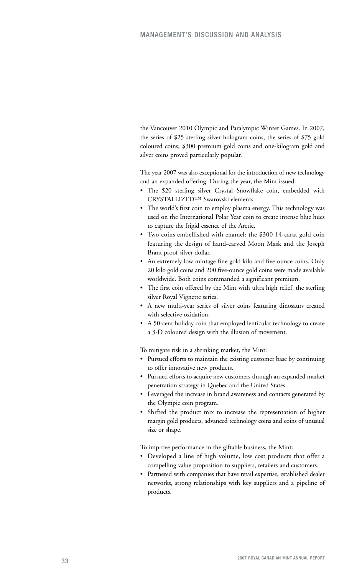the Vancouver 2010 Olympic and Paralympic Winter Games. In 2007, the series of \$25 sterling silver hologram coins, the series of \$75 gold coloured coins, \$300 premium gold coins and one-kilogram gold and silver coins proved particularly popular.

The year 2007 was also exceptional for the introduction of new technology and an expanded offering. During the year, the Mint issued:

- The \$20 sterling silver Crystal Snowflake coin, embedded with CRYSTALLIZED™ Swarovski elements.
- The world's first coin to employ plasma energy. This technology was used on the International Polar Year coin to create intense blue hues to capture the frigid essence of the Arctic.
- Two coins embellished with enamel: the \$300 14-carat gold coin featuring the design of hand-carved Moon Mask and the Joseph Brant proof silver dollar.
- An extremely low mintage fine gold kilo and five-ounce coins. Only 20 kilo gold coins and 200 five-ounce gold coins were made available worldwide. Both coins commanded a significant premium.
- The first coin offered by the Mint with ultra high relief, the sterling silver Royal Vignette series.
- A new multi-year series of silver coins featuring dinosaurs created with selective oxidation.
- A 50-cent holiday coin that employed lenticular technology to create a 3-D coloured design with the illusion of movement.

To mitigate risk in a shrinking market, the Mint:

- Pursued efforts to maintain the existing customer base by continuing to offer innovative new products.
- Pursued efforts to acquire new customers through an expanded market penetration strategy in Quebec and the United States.
- Leveraged the increase in brand awareness and contacts generated by the Olympic coin program.
- Shifted the product mix to increase the representation of higher margin gold products, advanced technology coins and coins of unusual size or shape.

To improve performance in the giftable business, the Mint:

- Developed a line of high volume, low cost products that offer a compelling value proposition to suppliers, retailers and customers.
- Partnered with companies that have retail expertise, established dealer networks, strong relationships with key suppliers and a pipeline of products.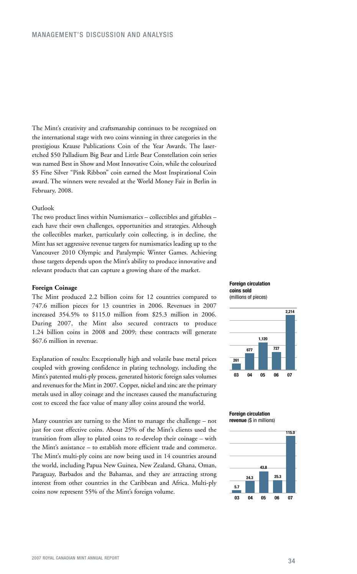The Mint's creativity and craftsmanship continues to be recognized on the international stage with two coins winning in three categories in the prestigious Krause Publications Coin of the Year Awards. The laseretched \$50 Palladium Big Bear and Little Bear Constellation coin series was named Best in Show and Most Innovative Coin, while the colourized **142.8 286.3** \$5 Fine Silver "Pink Ribbon" coin earned the Most Inspirational Coin **114 4** award. The winners were revealed at the World Money Fair in Berlin in February, 2008.  $\frac{1}{100}$  in  $\frac{1}{100}$ 

#### Outlook

The two product lines within Numismatics – collectibles and giftables – each have their own challenges, opportunities and strategies. Although **06** each have their own challenges, opportunities and strategies. Although the collectibles market, particularly coin collecting, is in decline, the Mint has set aggressive revenue targets for numismatics leading up to the **and** Vancouver 2010 Olympic and Paralympic Winter Games. Achieving **Refinery** those targets depends upon the Mint's ability to produce innovative and relevant products that can capture a growing share of the market. **13 married 2002 in 81100**<br>
15 Fine Silver "Pink Ri<br>
ward. The winners we<br>
<sup>1</sup>ebruary, 2008.<br>
Dutlook<br>
The two product lines v<br>
ach have their own ch<br>
the collectibles market<br>
Mint has set aggressive i the collectibles<br>Mint has set ag<sub>i</sub><br>Vancouver 201<br>those targets de<br>relevant produc<br>**Foreign Coina**<br>The Mint pro<br>747.6 million in collecting, is in<br>primatic lead<br>pric Winter Gam<br>bility to produce in<br>wing share of the<br>for 12 countries<br>s in 2006. Rever **Circulation Numismatic** r<br>Di

#### **Foreign Coinage**

The Mint produced 2.2 billion coins for 12 countries compared to 747.6 million pieces for 13 countries in 2006. Revenues in 2007 increased 354.5% to \$115.0 million from \$25.3 million in 2006. During 2007, the Mint also secured contracts to produce **5 9 6.0 6.3** 1.24 billion coins in 2008 and 2009; these contracts will generate **5 1 <sup>52</sup> <sup>9</sup> 52.6 56.5 56.7 56.3** \$67.6 million in revenue. **3 2**

Explanation of results: Exceptionally high and volatile base metal prices coupled with growing confidence in plating technology, including the Mint's patented multi-ply process, generated historic foreign sales volumes and revenues for the Mint in 2007. Copper, nickel and zinc are the primary metals used in alloy coinage and the increases caused the manufacturing cost to exceed the face value of many alloy coins around the world. **03** 154.5% to \$115.0 million from \$25.3 million in 2006.<br>
During 2007, the Mint also secured contracts to produce<br>
1.24 billion coins in 2008 and 2009; these contracts will generate<br>
67.6 million in revenue.<br>
Explanation

Many countries are turning to the Mint to manage the challenge – not just for cost effective coins. About 25% of the Mint's clients used the transition from alloy to plated coins to re-develop their coinage – with the Mint's assistance - to establish more efficient trade and commerce. The Mint's multi-ply coins are now being used in 14 countries around **276.0 270 3** the world, including Papua New Guinea, New Zealand, Ghana, Oman, **219 4 9 9** Paraguay, Barbados and the Bahamas, and they are attracting strong **1996 1996 1998** interest from other countries in the Caribbean and Africa. Multi-ply coins now represent 55% of the Mint's foreign volume. **4 4** st from other countries in the Carib **1438 examples** the world, including Papua New Guinea, New Zealand, Ghana, Oman,<br>
<sup>2</sup> Paraguay, Barbados and the Bahamas, and they are attracting strong<br>
1438 **examples** the countries in the Caribbean and Africa. Multi-p

# **Foreign circulation coins sold**  (millions of pieces) **Foreign circulation**<br>Prima<br>Cold



### **revenue** (\$ in millions) **Foreign circulation**

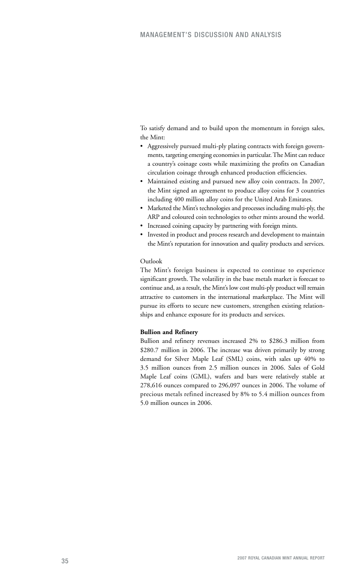To satisfy demand and to build upon the momentum in foreign sales, the Mint:

- Aggressively pursued multi-ply plating contracts with foreign governments, targeting emerging economies in particular. The Mint can reduce a country's coinage costs while maximizing the profits on Canadian circulation coinage through enhanced production efficiencies.
- Maintained existing and pursued new alloy coin contracts. In 2007, the Mint signed an agreement to produce alloy coins for 3 countries including 400 million alloy coins for the United Arab Emirates.
- Marketed the Mint's technologies and processes including multi-ply, the ARP and coloured coin technologies to other mints around the world.
- Increased coining capacity by partnering with foreign mints.
- Invested in product and process research and development to maintain the Mint's reputation for innovation and quality products and services.

#### Outlook

The Mint's foreign business is expected to continue to experience significant growth. The volatility in the base metals market is forecast to continue and, as a result, the Mint's low cost multi-ply product will remain attractive to customers in the international marketplace. The Mint will pursue its efforts to secure new customers, strengthen existing relationships and enhance exposure for its products and services.

#### **Bullion and Refinery**

Bullion and refinery revenues increased 2% to \$286.3 million from \$280.7 million in 2006. The increase was driven primarily by strong demand for Silver Maple Leaf (SML) coins, with sales up 40% to 3.5 million ounces from 2.5 million ounces in 2006. Sales of Gold Maple Leaf coins (GML), wafers and bars were relatively stable at 278,616 ounces compared to 296,097 ounces in 2006. The volume of precious metals refined increased by 8% to 5.4 million ounces from 5.0 million ounces in 2006.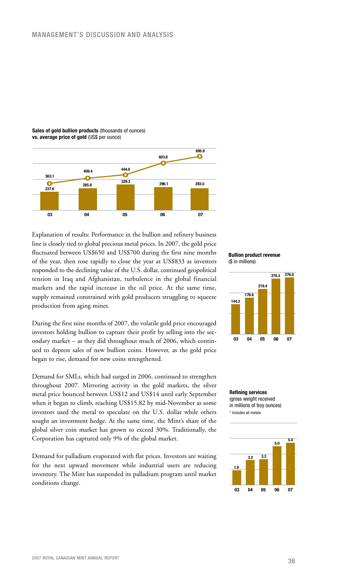# **03 079 079** 0793 08<br> **04 040 071 0793 08 0793 089**<br> **06 gold bullion products** (thousands of ounces)<br> **or gold to spold (US\$** per ounce) **revenue** (\$ in mildion)<br> **revenues 174 3 142.8 vs. average price of gold (US\$ per ounce)**



Explanation of results: Performance in the bullion and refinery business line is closely tied to global precious metal prices. In 2007, the gold price fluctuated between US\$650 and US\$700 during the first nine months of the year, then rose rapidly to close the year at US\$833 as investors responded to the declining value of the U.S. dollar, continued geopolitical **115 0** tension in Iraq and Afghanistan, turbulence in the global financial **9 9** markets and the rapid increase in the oil price. At the same time, **7 9 5 9 6.0 6.3** supply remained constrained with gold producers struggling to squeeze **6 3 5 1 <sup>52</sup> <sup>9</sup> 52.6 56.5 56.7 56.3** production from aging mines. **43.8 3 2 o s**<br>**Explanation of**<br>**line is closely time**<br>**fluctuated betwore the year, the<br><b>responded to the Num smatic reven ues**

During the first nine months of 2007, the volatile gold price encouraged **24 3** investors holding bullion to capture their profit by selling into the secondary market – as they did throughout much of 2006, which continued to depress sales of new bullion coins. However, as the gold price began to rise, demand for new coins strengthened. tension in Iraq and Afghanistan, turbulence in the global financial<br>markets and the rapid increase in the oil price. At the same time,<br>supply remained constrained with gold producers struggling to squeeze<br>production from a **03 07 <sup>04</sup> 0 5 <sup>06</sup> 03 07 <sup>04</sup> 0 5 <sup>06</sup> 03 07 <sup>04</sup> 0 5 <sup>06</sup>**

Demand for SMLs, which had surged in 2006, continued to strengthen throughout 2007. Mirroring activity in the gold markets, the silver metal price bounced between US\$12 and US\$14 until early September **Export sales** when it began to climb, reaching US\$15.82 by mid-November as some investors used the metal to speculate on the U.S. dollar while others sought an investment hedge. At the same time, the Mint's share of the global silver coin market has grown to exceed 30%. Traditionally, the **276.0 270 3** Corporation has captured only 9% of the global market. **56%** all ured only 9% of the global market. **9 9**

Demand for palladium evaporated with flat prices. Investors are waiting **42% 45% 144 3** for the next upward movement while industrial users are reducing **3 1** inventory. The Mint has suspended its palladium program until market conditions change. global silver coin market has grown to exceed 30%. Traditionally, the<br>Corporation has captured only 9% of the global market.<br>Demand for palladium evaporated with flat prices. Investors are waiting<br>for the next upward movem **03 07 <sup>04</sup> <sup>05</sup> <sup>06</sup> 03 07 <sup>04</sup> <sup>05</sup> <sup>06</sup> 03 07 <sup>04</sup> 0 5 <sup>06</sup> 4 4**

#### **Bullion product revenue Fore gn circulation**  (\$ in millions) **coins sold**   $\varphi$  in millions  $\eta$



**Total assets** (gross weight received **Net capital assets** in millions of troy ounces) \* includes all metals **Refining services Refining servic**<br>(gross weight re<br>in millions of tro<br>\* includes all metals

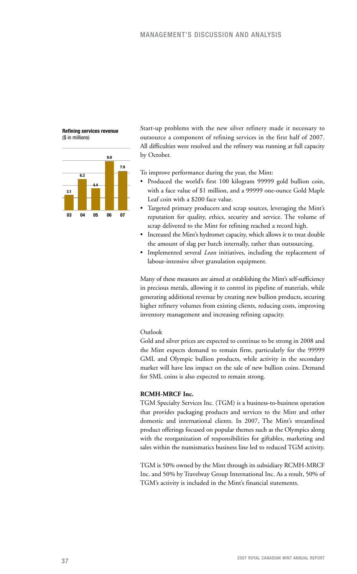# **<sup>06</sup> <sup>07</sup> 03 07 <sup>04</sup> 0 5 <sup>06</sup> 03 07 <sup>04</sup> 0 5 <sup>06</sup> 03 07 <sup>04</sup> 0 5 <sup>06</sup>** MANAGEMENT'S DISCUSSION AND ANALYSIS

#### **Refining services revenue** (\$ in millions)



Start-up problems with the new silver refinery made it necessary to outsource a component of refining services in the first half of 2007. All difficulties were resolved and the refinery was running at full capacity by October.  $\mathcal{G}$  weight received received received received received received received received received received received received received received received received received received received received received received receive ry made it necessar ry made it 1<br>1 the first h:<br>5 running at

To improve performance during the year, the Mint: **176.6 7 9 5 0**

- Produced the world's first 100 kilogram 99999 gold bullion coin, with a face value of \$1 million, and a 99999 one-ounce Gold Maple **1 9** Leaf coin with a \$200 face value.
- Targeted primary producers and scrap sources, leveraging the Mint's reputation for quality, ethics, security and service. The volume of scrap delivered to the Mint for refining reached a record high.
- Increased the Mint's hydromet capacity, which allows it to treat double the amount of slag per batch internally, rather than outsourcing.
- Implemented several *Lean* initiatives, including the replacement of labour-intensive silver granulation equipment.

Many of these measures are aimed at establishing the Mint's self-sufficiency in precious metals, allowing it to control its pipeline of materials, while generating additional revenue by creating new bullion products, securing **34 3 292 3** higher refinery volumes from existing clients, reducing costs, improving inventory management and increasing refining capacity. **168.1 <sup>21</sup> <sup>5</sup> <sup>19</sup> <sup>9</sup> 1% 52% 15** and **in** 

#### Outlook

Gold and silver prices are expected to continue to be strong in 2008 and **6.9** the Mint expects demand to remain firm, particularly for the 99999 **4.6** GML and Olympic bullion products, while activity in the secondary market will have less impact on the sale of new bullion coins. Demand for SML coins is also expected to remain strong. **<sup>06</sup> 0 7 03 07 <sup>04</sup> 0 5 <sup>06</sup> 03 07 <sup>04</sup> 0 5 <sup>06</sup> 86.2 88.1** be shown in the speected to continue to be intexpects demand to remain firm, particand Olympic bullion products, while actively will have less impact on the sale of new bull coins is also expected to remain strong.<br>**H-MRCF i** and silver prices are expected to contain the expects demand to remain fir and Olympic bullion products, will have less impact on the sale (IL coins is also expected to remain **H-MRCF Inc.** Specialty Services Inc. (TGM

#### **RCMH-MRCF Inc.**

TGM Specialty Services Inc. (TGM) is a business-to-business operation that provides packaging products and services to the Mint and other **603.8** domestic and international clients. In 2007, The Mint's streamlined product offerings focused on popular themes such as the Olympics along **<sup>409</sup> <sup>4</sup> <sup>444</sup> <sup>0</sup> 363 1** with the reorganization of responsibilities for giftables, marketing and **285.8 <sup>329</sup> <sup>3</sup> 296.1 <sup>283</sup> <sup>5</sup>** sales within the numismatics business line led to reduced TGM activity. **237.6** s packaging products and services to the Mint and other<br>d international clients. In 2007, The Mint's streamlined<br>ings focused on popular themes such as the Olympics along<br>rganization of responsibilities for giftables, mark

TGM is 50% owned by the Mint through its subsidiary RCMH-MRCF Inc. and 50% by Travelway Group International Inc. As a result, 50% of TGM's activity is included in the Mint's financial statements.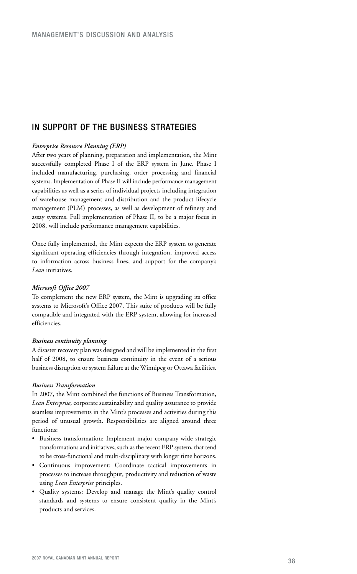## IN SUPPORT OF THE BUSINESS STRATEGIES

#### *Enterprise Resource Planning (ERP)*

After two years of planning, preparation and implementation, the Mint successfully completed Phase I of the ERP system in June. Phase I included manufacturing, purchasing, order processing and financial systems. Implementation of Phase II will include performance management capabilities as well as a series of individual projects including integration of warehouse management and distribution and the product lifecycle management (PLM) processes, as well as development of refinery and assay systems. Full implementation of Phase II, to be a major focus in 2008, will include performance management capabilities.

Once fully implemented, the Mint expects the ERP system to generate significant operating efficiencies through integration, improved access to information across business lines, and support for the company's *Lean* initiatives.

#### *Microsoft Office 2007*

To complement the new ERP system, the Mint is upgrading its office systems to Microsoft's Office 2007. This suite of products will be fully compatible and integrated with the ERP system, allowing for increased efficiencies.

#### *Business continuity planning*

A disaster recovery plan was designed and will be implemented in the first half of 2008, to ensure business continuity in the event of a serious business disruption or system failure at the Winnipeg or Ottawa facilities.

#### *Business Transformation*

In 2007, the Mint combined the functions of Business Transformation, *Lean Enterprise*, corporate sustainability and quality assurance to provide seamless improvements in the Mint's processes and activities during this period of unusual growth. Responsibilities are aligned around three functions:

- Business transformation: Implement major company-wide strategic transformations and initiatives, such as the recent ERP system, that tend to be cross-functional and multi-disciplinary with longer time horizons.
- Continuous improvement: Coordinate tactical improvements in processes to increase throughput, productivity and reduction of waste using *Lean Enterprise* principles.
- Quality systems: Develop and manage the Mint's quality control standards and systems to ensure consistent quality in the Mint's products and services.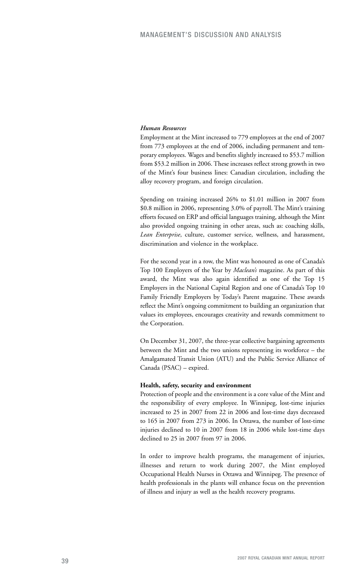#### *Human Resources*

Employment at the Mint increased to 779 employees at the end of 2007 from 773 employees at the end of 2006, including permanent and temporary employees. Wages and benefits slightly increased to \$53.7 million from \$53.2 million in 2006. These increases reflect strong growth in two of the Mint's four business lines: Canadian circulation, including the alloy recovery program, and foreign circulation.

Spending on training increased 26% to \$1.01 million in 2007 from \$0.8 million in 2006, representing 3.0% of payroll. The Mint's training efforts focused on ERP and official languages training, although the Mint also provided ongoing training in other areas, such as: coaching skills, *Lean Enterprise*, culture, customer service, wellness, and harassment, discrimination and violence in the workplace.

For the second year in a row, the Mint was honoured as one of Canada's Top 100 Employers of the Year by *Maclean's* magazine. As part of this award, the Mint was also again identified as one of the Top 15 Employers in the National Capital Region and one of Canada's Top 10 Family Friendly Employers by Today's Parent magazine. These awards reflect the Mint's ongoing commitment to building an organization that values its employees, encourages creativity and rewards commitment to the Corporation.

On December 31, 2007, the three-year collective bargaining agreements between the Mint and the two unions representing its workforce – the Amalgamated Transit Union (ATU) and the Public Service Alliance of Canada (PSAC) – expired.

#### **Health, safety, security and environment**

Protection of people and the environment is a core value of the Mint and the responsibility of every employee. In Winnipeg, lost-time injuries increased to 25 in 2007 from 22 in 2006 and lost-time days decreased to 165 in 2007 from 273 in 2006. In Ottawa, the number of lost-time injuries declined to 10 in 2007 from 18 in 2006 while lost-time days declined to 25 in 2007 from 97 in 2006.

In order to improve health programs, the management of injuries, illnesses and return to work during 2007, the Mint employed Occupational Health Nurses in Ottawa and Winnipeg. The presence of health professionals in the plants will enhance focus on the prevention of illness and injury as well as the health recovery programs.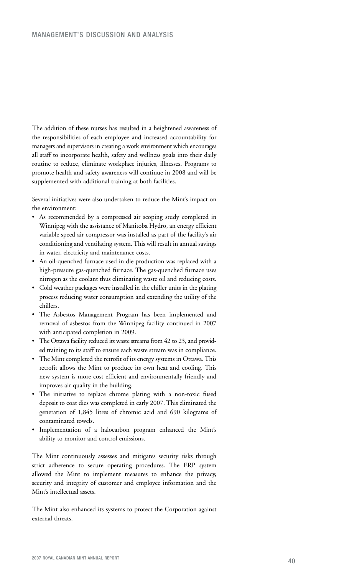The addition of these nurses has resulted in a heightened awareness of the responsibilities of each employee and increased accountability for managers and supervisors in creating a work environment which encourages all staff to incorporate health, safety and wellness goals into their daily routine to reduce, eliminate workplace injuries, illnesses. Programs to promote health and safety awareness will continue in 2008 and will be supplemented with additional training at both facilities.

Several initiatives were also undertaken to reduce the Mint's impact on the environment:

- As recommended by a compressed air scoping study completed in Winnipeg with the assistance of Manitoba Hydro, an energy efficient variable speed air compressor was installed as part of the facility's air conditioning and ventilating system. This will result in annual savings in water, electricity and maintenance costs.
- An oil-quenched furnace used in die production was replaced with a high-pressure gas-quenched furnace. The gas-quenched furnace uses nitrogen as the coolant thus eliminating waste oil and reducing costs.
- Cold weather packages were installed in the chiller units in the plating process reducing water consumption and extending the utility of the chillers.
- The Asbestos Management Program has been implemented and removal of asbestos from the Winnipeg facility continued in 2007 with anticipated completion in 2009.
- The Ottawa facility reduced its waste streams from 42 to 23, and provided training to its staff to ensure each waste stream was in compliance.
- The Mint completed the retrofit of its energy systems in Ottawa. This retrofit allows the Mint to produce its own heat and cooling. This new system is more cost efficient and environmentally friendly and improves air quality in the building.
- The initiative to replace chrome plating with a non-toxic fused deposit to coat dies was completed in early 2007. This eliminated the generation of 1,845 litres of chromic acid and 690 kilograms of contaminated towels.
- Implementation of a halocarbon program enhanced the Mint's ability to monitor and control emissions.

The Mint continuously assesses and mitigates security risks through strict adherence to secure operating procedures. The ERP system allowed the Mint to implement measures to enhance the privacy, security and integrity of customer and employee information and the Mint's intellectual assets.

The Mint also enhanced its systems to protect the Corporation against external threats.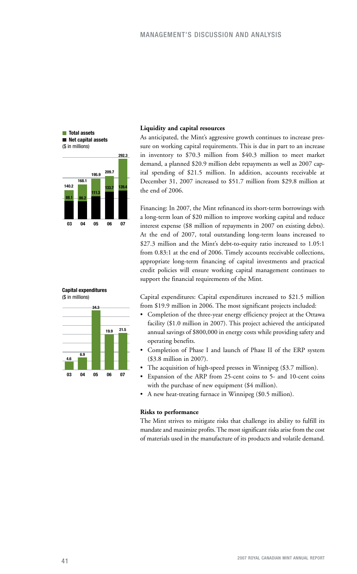



#### **Liquidity and capital resources**

As anticipated, the Mint's aggressive growth continues to increase pressure on working capital requirements. This is due in part to an increase in inventory to \$70.3 million from \$40.3 million to meet market **34 3 93** demand, a planned \$20.9 million debt repayments as well as 2007 cap-**67** ital spending of \$21.5 million. In addition, accounts receivable at December 31, 2007 increased to \$51.7 million from \$29.8 million at the end of 2006. bowth continues to increase that<br>This is due in part to an<br>\$40.3 million to meer<br>repayments as well as 2<br>ddition, accounts recease 7<br>million from \$29.8 r<br>d its short-term borrow

Financing: In 2007, the Mint refinanced its short-term borrowings with **6.9 4.6** a long-term loan of \$20 million to improve working capital and reduce interest expense (\$8 million of repayments in 2007 on existing debts). At the end of 2007, total outstanding long-term loans increased to \$27.3 million and the Mint's debt-to-equity ratio increased to 1.05:1 **773** from 0.83:1 at the end of 2006. Timely accounts receivable collections, **672 732** appropriate long-term financing of capital investments and practical **563** credit policies will ensure working capital management continues to **695 9 471** support the financial requirements of the Mint. **603.8** r accounts receivable co<br>pital investments and<br>pital management con<br>ee Mint.<br>ures increased to \$21.<br>significant projects inc<br>efficiency project at th<br>project achieved the ar



Capital expenditures: Capital expenditures increased to \$21.5 million from \$19.9 million in 2006. The most significant projects included: **285.8 <sup>329</sup> <sup>3</sup> 296.1 <sup>283</sup> <sup>5</sup>**

- Completion of the three-year energy efficiency project at the Ottawa **05** facility (\$1.0 million in 2007). This project achieved the anticipated annual savings of \$800,000 in energy costs while providing safety and operating benefits.
- Completion of Phase I and launch of Phase II of the ERP system (\$3.8 million in 2007).
- The acquisition of high-speed presses in Winnipeg (\$3.7 million).
- Expansion of the ARP from 25-cent coins to 5- and 10-cent coins with the purchase of new equipment (\$4 million).
- A new heat-treating furnace in Winnipeg (\$0.5 million).

#### **Risks to performance**

The Mint strives to mitigate risks that challenge its ability to fulfill its mandate and maximize profits. The most significant risks arise from the cost of materials used in the manufacture of its products and volatile demand.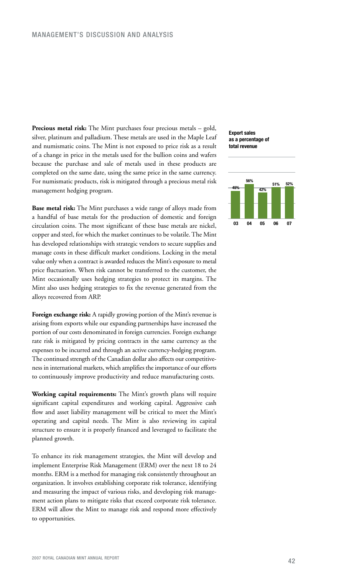**Precious metal risk:** The Mint purchases four precious metals – gold, silver, platinum and palladium. These metals are used in the Maple Leaf and numismatic coins. The Mint is not exposed to price risk as a result of a change in price in the metals used for the bullion coins and wafers because the purchase and sale of metals used in these products are completed on the same date, using the same price in the same currency. For numismatic products, risk is mitigated through a precious metal risk management hedging program.

**Base metal risk:** The Mint purchases a wide range of alloys made from a handful of base metals for the production of domestic and foreign circulation coins. The most significant of these base metals are nickel, copper and steel, for which the market continues to be volatile. The Mint has developed relationships with strategic vendors to secure supplies and manage costs in these difficult market conditions. Locking in the metal value only when a contract is awarded reduces the Mint's exposure to metal price fluctuation. When risk cannot be transferred to the customer, the Mint occasionally uses hedging strategies to protect its margins. The Mint also uses hedging strategies to fix the revenue generated from the alloys recovered from ARP.

**Foreign exchange risk:** A rapidly growing portion of the Mint's revenue is arising from exports while our expanding partnerships have increased the portion of our costs denominated in foreign currencies. Foreign exchange rate risk is mitigated by pricing contracts in the same currency as the expenses to be incurred and through an active currency-hedging program. The continued strength of the Canadian dollar also affects our competitiveness in international markets, which amplifies the importance of our efforts to continuously improve productivity and reduce manufacturing costs.

**Working capital requirements:** The Mint's growth plans will require significant capital expenditures and working capital. Aggressive cash flow and asset liability management will be critical to meet the Mint's operating and capital needs. The Mint is also reviewing its capital structure to ensure it is properly financed and leveraged to facilitate the planned growth.

To enhance its risk management strategies, the Mint will develop and implement Enterprise Risk Management (ERM) over the next 18 to 24 months. ERM is a method for managing risk consistently throughout an organization. It involves establishing corporate risk tolerance, identifying and measuring the impact of various risks, and developing risk management action plans to mitigate risks that exceed corporate risk tolerance. ERM will allow the Mint to manage risk and respond more effectively to opportunities.

#### **Export sales as a percentage of total revenue**

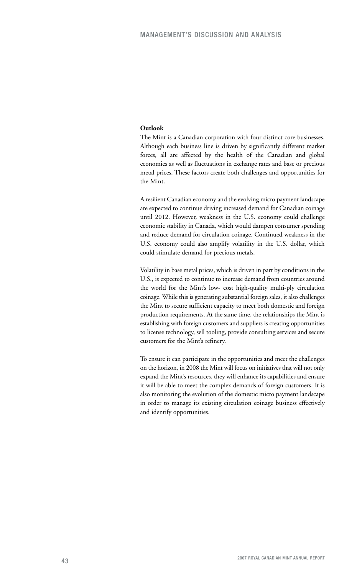#### **Outlook**

The Mint is a Canadian corporation with four distinct core businesses. Although each business line is driven by significantly different market forces, all are affected by the health of the Canadian and global economies as well as fluctuations in exchange rates and base or precious metal prices. These factors create both challenges and opportunities for the Mint.

A resilient Canadian economy and the evolving micro payment landscape are expected to continue driving increased demand for Canadian coinage until 2012. However, weakness in the U.S. economy could challenge economic stability in Canada, which would dampen consumer spending and reduce demand for circulation coinage. Continued weakness in the U.S. economy could also amplify volatility in the U.S. dollar, which could stimulate demand for precious metals.

Volatility in base metal prices, which is driven in part by conditions in the U.S., is expected to continue to increase demand from countries around the world for the Mint's low- cost high-quality multi-ply circulation coinage. While this is generating substantial foreign sales, it also challenges the Mint to secure sufficient capacity to meet both domestic and foreign production requirements. At the same time, the relationships the Mint is establishing with foreign customers and suppliers is creating opportunities to license technology, sell tooling, provide consulting services and secure customers for the Mint's refinery.

To ensure it can participate in the opportunities and meet the challenges on the horizon, in 2008 the Mint will focus on initiatives that will not only expand the Mint's resources, they will enhance its capabilities and ensure it will be able to meet the complex demands of foreign customers. It is also monitoring the evolution of the domestic micro payment landscape in order to manage its existing circulation coinage business effectively and identify opportunities.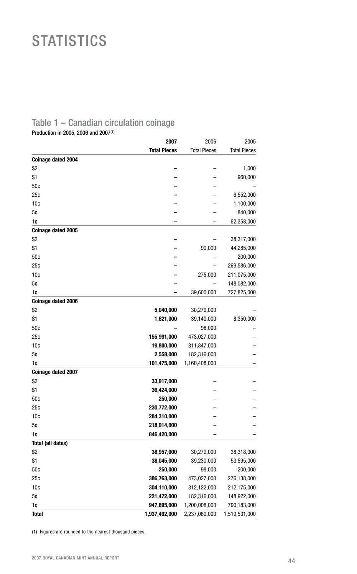# **STATISTICS**

## Table 1 – Canadian circulation coinage

Production in 2005, 2006 and 2007(1)

|                           | 2006<br>2007        |                     | 2005                |  |
|---------------------------|---------------------|---------------------|---------------------|--|
|                           | <b>Total Pieces</b> | <b>Total Pieces</b> | <b>Total Pieces</b> |  |
| Coinage dated 2004        |                     |                     |                     |  |
| \$2                       |                     |                     | 1,000               |  |
| \$1                       |                     |                     | 960,000             |  |
| 50¢                       |                     |                     |                     |  |
| 25 <sub>0</sub>           |                     |                     | 6,552,000           |  |
| 10 <sub>0</sub>           |                     |                     | 1,100,000           |  |
| 5¢                        |                     |                     | 840,000             |  |
| 1¢                        |                     |                     | 62,358,000          |  |
| Coinage dated 2005        |                     |                     |                     |  |
| \$2                       |                     |                     | 38,317,000          |  |
| \$1                       |                     | 90,000              | 44,285,000          |  |
| 50¢                       |                     |                     | 200,000             |  |
| 25 <sub>0</sub>           |                     |                     | 269,586,000         |  |
| 10 <sub>0</sub>           |                     | 275,000             | 211,075,000         |  |
| 5¢                        |                     |                     | 148,082,000         |  |
| 1¢                        |                     | 39,600,000          | 727,825,000         |  |
| <b>Coinage dated 2006</b> |                     |                     |                     |  |
| \$2                       | 5,040,000           | 30,279,000          |                     |  |
| \$1                       | 1,621,000           | 39,140,000          | 8,350,000           |  |
| 50¢                       |                     | 98,000              |                     |  |
| 25 <sub>0</sub>           | 155,991,000         | 473,027,000         |                     |  |
| 10 <sub>0</sub>           | 19,800,000          | 311,847,000         |                     |  |
| 5¢                        | 2,558,000           | 182,316,000         |                     |  |
| 1¢                        | 101,475,000         | 1,160,408,000       |                     |  |
| Coinage dated 2007        |                     |                     |                     |  |
| \$2                       | 33,917,000          |                     |                     |  |
| \$1                       | 36,424,000          |                     |                     |  |
| 50¢                       | 250,000             |                     |                     |  |
| 25 <sub>0</sub>           | 230,772,000         |                     |                     |  |
| 10 <sub>0</sub>           | 284,310,000         |                     |                     |  |
| 5¢                        | 218,914,000         |                     |                     |  |
| 1¢                        | 846,420,000         |                     |                     |  |
| <b>Total (all dates)</b>  |                     |                     |                     |  |
| \$2                       | 38,957,000          | 30,279,000          | 38,318,000          |  |
| \$1                       | 38,045,000          | 39,230,000          | 53,595,000          |  |
| 50¢                       | 250,000             | 98,000              | 200,000             |  |
| 25¢                       | 386,763,000         | 473,027,000         | 276,138,000         |  |
| 10 <sub>c</sub>           | 304,110,000         | 312,122,000         | 212,175,000         |  |
| <b>5¢</b>                 | 221,472,000         | 182,316,000         | 148,922,000         |  |
| 10                        | 947,895,000         | 1,200,008,000       | 790,183,000         |  |
| <b>Total</b>              | 1,937,492,000       | 2,237,080,000       | 1,519,531,000       |  |

(1) Figures are rounded to the nearest thousand pieces.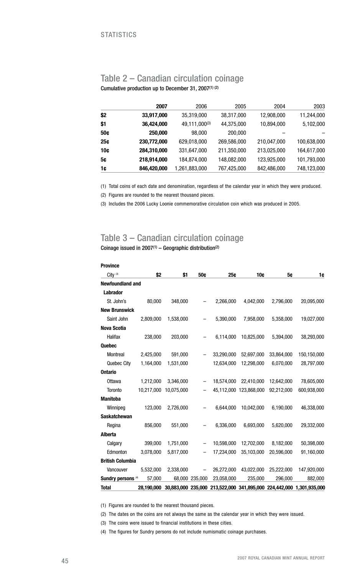## Table 2 – Canadian circulation coinage

Cumulative production up to December 31, 2007(1) (2)

|     | 2007        | 2006          | 2005        | 2004        | 2003        |
|-----|-------------|---------------|-------------|-------------|-------------|
| \$2 | 33,917,000  | 35,319,000    | 38,317,000  | 12,908,000  | 11,244,000  |
| \$1 | 36,424,000  | 49,111,000(3) | 44,375,000  | 10,894,000  | 5,102,000   |
| 50¢ | 250,000     | 98,000        | 200,000     |             |             |
| 25¢ | 230,772,000 | 629,018,000   | 269,586,000 | 210,047,000 | 100,638,000 |
| 10¢ | 284,310,000 | 331,647,000   | 211,350,000 | 213,025,000 | 164,617,000 |
| 5¢  | 218,914,000 | 184,874,000   | 148,082,000 | 123,925,000 | 101,793,000 |
| 1¢  | 846,420,000 | 1,261,883,000 | 767,425,000 | 842,486,000 | 748,123,000 |

(1) Total coins of each date and denomination, regardless of the calendar year in which they were produced.

(2) Figures are rounded to the nearest thousand pieces.

(3) Includes the 2006 Lucky Loonie commemorative circulation coin which was produced in 2005.

# Table 3 – Canadian circulation coinage

| Coinage issued in 2007 <sup>(1)</sup> – Geographic distribution <sup>(2)</sup> |  |  |  |
|--------------------------------------------------------------------------------|--|--|--|
|--------------------------------------------------------------------------------|--|--|--|

| <b>Province</b>               |            |                    |                |            |                        |            |                                                   |
|-------------------------------|------------|--------------------|----------------|------------|------------------------|------------|---------------------------------------------------|
| City <sup>(3)</sup>           | \$2        | \$1                | 50¢            | 25¢        | 10¢                    | 5¢         | 1¢                                                |
| <b>Newfoundland and</b>       |            |                    |                |            |                        |            |                                                   |
| <b>Labrador</b>               |            |                    |                |            |                        |            |                                                   |
| St. John's                    | 80,000     | 348,000            |                | 2,266,000  | 4,042,000              | 2,796,000  | 20,095,000                                        |
| <b>New Brunswick</b>          |            |                    |                |            |                        |            |                                                   |
| Saint John                    | 2,809,000  | 1,538,000          |                | 5,390,000  | 7,958,000              | 5,358,000  | 19,027,000                                        |
| <b>Nova Scotia</b>            |            |                    |                |            |                        |            |                                                   |
| Halifax                       | 238,000    | 203,000            |                | 6,114,000  | 10,825,000             | 5,394,000  | 38,293,000                                        |
| Quebec                        |            |                    |                |            |                        |            |                                                   |
| Montreal                      | 2,425,000  | 591,000            |                | 33,290,000 | 52,697,000             | 33,864,000 | 150,150,000                                       |
| <b>Quebec City</b>            | 1,164,000  | 1,531,000          |                | 12,634,000 | 12,298,000             | 6,070,000  | 28,797,000                                        |
| <b>Ontario</b>                |            |                    |                |            |                        |            |                                                   |
| Ottawa                        | 1,212,000  | 3,346,000          |                | 18,574,000 | 22,410,000             | 12,642,000 | 78,605,000                                        |
| Toronto                       | 10,217,000 | 10,075,000         |                |            | 45,112,000 123,868,000 | 92,212,000 | 600,938,000                                       |
| <b>Manitoba</b>               |            |                    |                |            |                        |            |                                                   |
| Winnipeg                      | 123,000    | 2,726,000          |                | 6,644,000  | 10,042,000             | 6,190,000  | 46,338,000                                        |
| <b>Saskatchewan</b>           |            |                    |                |            |                        |            |                                                   |
| Regina                        | 856,000    | 551,000            |                | 6,336,000  | 6,693,000              | 5,620,000  | 29,332,000                                        |
| Alberta                       |            |                    |                |            |                        |            |                                                   |
| Calgary                       | 399,000    | 1,751,000          |                | 10,598,000 | 12,702,000             | 8,182,000  | 50,398,000                                        |
| Edmonton                      | 3,078,000  | 5,817,000          |                | 17,234,000 | 35,103,000             | 20,596,000 | 91,160,000                                        |
| <b>British Columbia</b>       |            |                    |                |            |                        |            |                                                   |
| Vancouver                     | 5,532,000  | 2,338,000          |                | 26,272,000 | 43,022,000             | 25,222,000 | 147,920,000                                       |
| Sundry persons <sup>(4)</sup> | 57,000     |                    | 68,000 235,000 | 23,058,000 | 235,000                | 296,000    | 882,000                                           |
| Total                         | 28,190,000 | 30,883,000 235,000 |                |            |                        |            | 213,522,000 341,895,000 224,442,000 1,301,935,000 |

(1) Figures are rounded to the nearest thousand pieces.

(2) The dates on the coins are not always the same as the calendar year in which they were issued.

(3) The coins were issued to financial institutions in these cities.

(4) The figures for Sundry persons do not include numismatic coinage purchases.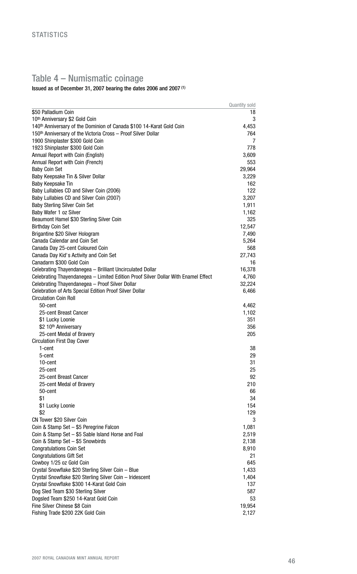## Table 4 – Numismatic coinage

#### Issued as of December 31, 2007 bearing the dates 2006 and 2007 (1)

|                                                                                                        | Quantity sold  |
|--------------------------------------------------------------------------------------------------------|----------------|
| \$50 Palladium Coin                                                                                    | 18             |
| 10th Anniversary \$2 Gold Coin                                                                         | 3              |
| 140th Anniversary of the Dominion of Canada \$100 14-Karat Gold Coin                                   | 4,453          |
| 150th Anniversary of the Victoria Cross - Proof Silver Dollar                                          | 764            |
| 1900 Shinplaster \$300 Gold Coin                                                                       | 7              |
| 1923 Shinplaster \$300 Gold Coin                                                                       | 778            |
| Annual Report with Coin (English)                                                                      | 3,609          |
| Annual Report with Coin (French)                                                                       | 553            |
| <b>Baby Coin Set</b>                                                                                   | 29,964         |
| Baby Keepsake Tin & Silver Dollar                                                                      | 3,229          |
| Baby Keepsake Tin                                                                                      | 162<br>122     |
| Baby Lullabies CD and Silver Coin (2006)                                                               |                |
| Baby Lullabies CD and Silver Coin (2007)<br><b>Baby Sterling Silver Coin Set</b>                       | 3,207<br>1,911 |
| Baby Wafer 1 oz Silver                                                                                 | 1,162          |
| Beaumont Hamel \$30 Sterling Silver Coin                                                               | 325            |
| <b>Birthday Coin Set</b>                                                                               | 12,547         |
| Brigantine \$20 Silver Hologram                                                                        | 7,490          |
| <b>Canada Calendar and Coin Set</b>                                                                    | 5,264          |
| Canada Day 25-cent Coloured Coin                                                                       | 568            |
| Canada Day Kid's Activity and Coin Set                                                                 | 27,743         |
| Canadarm \$300 Gold Coin                                                                               | 16             |
| Celebrating Thayendanegea - Brilliant Uncirculated Dollar                                              | 16,378         |
| Celebrating Thayendanegea - Limited Edition Proof Silver Dollar With Enamel Effect                     | 4,760          |
| Celebrating Thayendanegea - Proof Silver Dollar                                                        | 32,224         |
| Celebration of Arts Special Edition Proof Silver Dollar                                                | 6,466          |
| <b>Circulation Coin Roll</b>                                                                           |                |
| 50-cent                                                                                                | 4,462          |
| 25-cent Breast Cancer                                                                                  | 1,102          |
| \$1 Lucky Loonie                                                                                       | 351            |
| \$2 10 <sup>th</sup> Anniversary                                                                       | 356            |
| 25-cent Medal of Bravery                                                                               | 205            |
| <b>Circulation First Day Cover</b>                                                                     |                |
| 1-cent                                                                                                 | 38             |
| 5-cent                                                                                                 | 29             |
| 10-cent                                                                                                | 31             |
| 25-cent                                                                                                | 25             |
| 25-cent Breast Cancer                                                                                  | 92             |
| 25-cent Medal of Bravery                                                                               | 210            |
| 50-cent                                                                                                | 66             |
| \$1                                                                                                    | 34             |
| \$1 Lucky Loonie                                                                                       | 154            |
| \$2                                                                                                    | 129            |
| CN Tower \$20 Silver Coin                                                                              | 3              |
| Coin & Stamp Set - \$5 Peregrine Falcon                                                                | 1,081          |
| Coin & Stamp Set - \$5 Sable Island Horse and Foal                                                     | 2,519          |
| Coin & Stamp Set - \$5 Snowbirds                                                                       | 2,138          |
| <b>Congratulations Coin Set</b>                                                                        | 8,910          |
| <b>Congratulations Gift Set</b><br>Cowboy 1/25 oz Gold Coin                                            | 21             |
| Crystal Snowflake \$20 Sterling Silver Coin - Blue                                                     | 645            |
|                                                                                                        | 1,433          |
| Crystal Snowflake \$20 Sterling Silver Coin - Iridescent<br>Crystal Snowflake \$300 14-Karat Gold Coin | 1,404<br>137   |
| Dog Sled Team \$30 Sterling Silver                                                                     | 587            |
| Dogsled Team \$250 14-Karat Gold Coin                                                                  | 53             |
| Fine Silver Chinese \$8 Coin                                                                           | 19,954         |
| Fishing Trade \$200 22K Gold Coin                                                                      | 2,127          |
|                                                                                                        |                |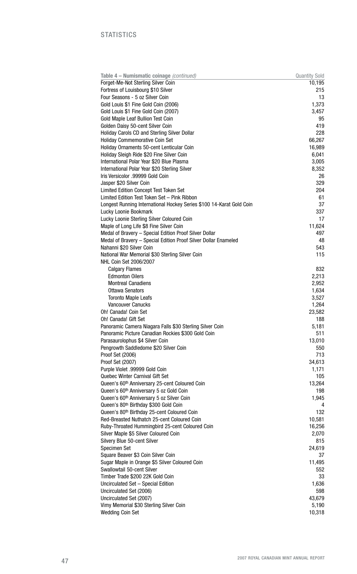## **STATISTICS**

| Table 4 - Numismatic coinage (continued)                                                                   | <b>Quantity Sold</b> |
|------------------------------------------------------------------------------------------------------------|----------------------|
| Forget-Me-Not Sterling Silver Coin                                                                         | 10,195               |
| Fortress of Louisbourg \$10 Silver                                                                         | 215                  |
| Four Seasons - 5 oz Silver Coin                                                                            | 13                   |
| Gold Louis \$1 Fine Gold Coin (2006)                                                                       | 1,373                |
| Gold Louis \$1 Fine Gold Coin (2007)                                                                       | 3,457                |
| <b>Gold Maple Leaf Bullion Test Coin</b>                                                                   | 95                   |
| Golden Daisy 50-cent Silver Coin                                                                           | 419                  |
| Holiday Carols CD and Sterling Silver Dollar                                                               | 228                  |
| <b>Holiday Commemorative Coin Set</b><br>Holiday Ornaments 50-cent Lenticular Coin                         | 66,267<br>16,989     |
| Holiday Sleigh Ride \$20 Fine Silver Coin                                                                  | 6,041                |
| International Polar Year \$20 Blue Plasma                                                                  | 3,005                |
| International Polar Year \$20 Sterling Silver                                                              | 8,352                |
| Iris Versicolor .99999 Gold Coin                                                                           | 26                   |
| Jasper \$20 Silver Coin                                                                                    | 329                  |
| Limited Edition Concept Test Token Set                                                                     | 204                  |
| Limited Edition Test Token Set - Pink Ribbon                                                               | 61                   |
| Longest Running International Hockey Series \$100 14-Karat Gold Coin                                       | 37                   |
| Lucky Loonie Bookmark                                                                                      | 337                  |
| Lucky Loonie Sterling Silver Coloured Coin                                                                 | 17                   |
| Maple of Long Life \$8 Fine Silver Coin                                                                    | 11,624               |
| Medal of Bravery - Special Edition Proof Silver Dollar                                                     | 497                  |
| Medal of Bravery - Special Edition Proof Silver Dollar Enameled                                            | 48                   |
| Nahanni \$20 Silver Coin                                                                                   | 543                  |
| National War Memorial \$30 Sterling Silver Coin                                                            | 115                  |
| NHL Coin Set 2006/2007                                                                                     |                      |
| <b>Calgary Flames</b><br><b>Edmonton Oilers</b>                                                            | 832<br>2,213         |
| <b>Montreal Canadiens</b>                                                                                  | 2,952                |
| Ottawa Senators                                                                                            | 1,634                |
| <b>Toronto Maple Leafs</b>                                                                                 | 3,527                |
| <b>Vancouver Canucks</b>                                                                                   | 1,264                |
| Oh! Canada! Coin Set                                                                                       | 23,582               |
| Oh! Canada! Gift Set                                                                                       | 188                  |
| Panoramic Camera Niagara Falls \$30 Sterling Silver Coin                                                   | 5,181                |
| Panoramic Picture Canadian Rockies \$300 Gold Coin                                                         | 511                  |
| Parasaurolophus \$4 Silver Coin                                                                            | 13,010               |
| Pengrowth Saddledome \$20 Silver Coin                                                                      | 550                  |
| Proof Set (2006)                                                                                           | 713                  |
| Proof Set (2007)                                                                                           | 34,613               |
| Purple Violet .99999 Gold Coin                                                                             | 1,171                |
| Quebec Winter Carnival Gift Set                                                                            | 105                  |
| Queen's 60 <sup>th</sup> Anniversary 25-cent Coloured Coin                                                 | 13,264               |
| Queen's 60 <sup>th</sup> Anniversary 5 oz Gold Coin                                                        | 198                  |
| Queen's 60 <sup>th</sup> Anniversary 5 oz Silver Coin<br>Queen's 80 <sup>th</sup> Birthday \$300 Gold Coin | 1,945                |
| Queen's 80 <sup>th</sup> Birthday 25-cent Coloured Coin                                                    | 4<br>132             |
| Red-Breasted Nuthatch 25-cent Coloured Coin                                                                | 10,581               |
| Ruby-Throated Hummingbird 25-cent Coloured Coin                                                            | 16,256               |
| Silver Maple \$5 Silver Coloured Coin                                                                      | 2,070                |
| Silvery Blue 50-cent Silver                                                                                | 815                  |
| Specimen Set                                                                                               | 24,619               |
| Square Beaver \$3 Coin Silver Coin                                                                         | 37                   |
| Sugar Maple in Orange \$5 Silver Coloured Coin                                                             | 11,495               |
| Swallowtail 50-cent Silver                                                                                 | 552                  |
| Timber Trade \$200 22K Gold Coin                                                                           | 33                   |
| Uncirculated Set - Special Edition                                                                         | 1,636                |
| Uncirculated Set (2006)                                                                                    | 598                  |
| Uncirculated Set (2007)                                                                                    | 43,679               |
| Vimy Memorial \$30 Sterling Silver Coin                                                                    | 5,190                |
| <b>Wedding Coin Set</b>                                                                                    | 10,318               |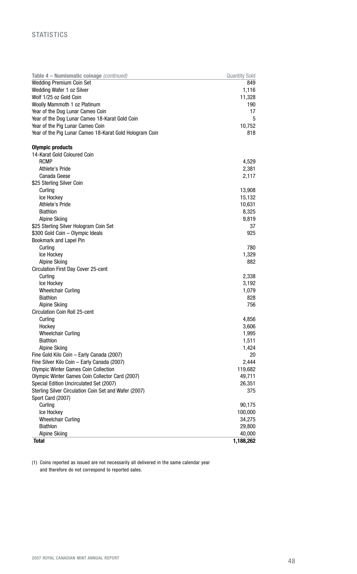## **STATISTICS**

| Table 4 - Numismatic coinage (continued)                | <b>Quantity Sold</b> |
|---------------------------------------------------------|----------------------|
| <b>Wedding Premium Coin Set</b>                         | 849                  |
| Wedding Wafer 1 oz Silver                               | 1,116                |
| Wolf 1/25 oz Gold Coin                                  | 11,328               |
| Woolly Mammoth 1 oz Platinum                            | 190                  |
| Year of the Dog Lunar Cameo Coin                        | 17                   |
| Year of the Dog Lunar Cameo 18-Karat Gold Coin          | 5                    |
| Year of the Pig Lunar Cameo Coin                        | 10,752               |
| Year of the Pig Lunar Cameo 18-Karat Gold Hologram Coin | 818                  |
| <b>Olympic products</b>                                 |                      |
| 14-Karat Gold Coloured Coin                             |                      |
| <b>RCMP</b>                                             | 4,529                |
| Athlete's Pride                                         | 2,381                |
| Canada Geese                                            | 2,117                |
| \$25 Sterling Silver Coin                               |                      |
| Curling                                                 | 13,908               |
| Ice Hockey                                              | 15,132               |
| Athlete's Pride                                         | 10,631               |
| <b>Biathlon</b>                                         | 8,325                |
| <b>Alpine Skiing</b>                                    | 9,819                |
| \$25 Sterling Silver Hologram Coin Set                  | 37                   |
| \$300 Gold Coin - Olympic Ideals                        | 925                  |
| Bookmark and Lapel Pin                                  |                      |
| Curling                                                 | 780                  |
| Ice Hockey                                              | 1,329                |
| <b>Alpine Skiing</b>                                    | 882                  |
| Circulation First Day Cover 25-cent                     |                      |
| Curling                                                 | 2,338                |
| Ice Hockey                                              | 3,192                |
| <b>Wheelchair Curling</b>                               | 1,079                |
| <b>Biathlon</b>                                         | 828                  |
| <b>Alpine Skiing</b>                                    | 756                  |
| <b>Circulation Coin Roll 25-cent</b>                    |                      |
| Curling                                                 | 4,856                |
| Hockey                                                  | 3,606                |
| <b>Wheelchair Curling</b>                               | 1,995                |
| <b>Biathlon</b>                                         | 1,511                |
| <b>Alpine Skiing</b>                                    | 1,424                |
| Fine Gold Kilo Coin - Early Canada (2007)               | 20                   |
| Fine Silver Kilo Coin - Early Canada (2007)             | 2,444                |
| <b>Olympic Winter Games Coin Collection</b>             | 119,682              |
| Olympic Winter Games Coin Collector Card (2007)         | 49,711               |
| Special Edition Uncirculated Set (2007)                 | 26,351               |
| Sterling Silver Circulation Coin Set and Wafer (2007)   | 375                  |
| Sport Card (2007)                                       |                      |
| Curling                                                 | 90,175               |
| Ice Hockey                                              | 100,000              |
| <b>Wheelchair Curling</b><br><b>Biathlon</b>            | 34,275               |
| <b>Alpine Skiing</b>                                    | 29,800               |
| <b>Total</b>                                            | 40,000<br>1,188,262  |
|                                                         |                      |

(1) Coins reported as issued are not necessarily all delivered in the same calendar year and therefore do not correspond to reported sales.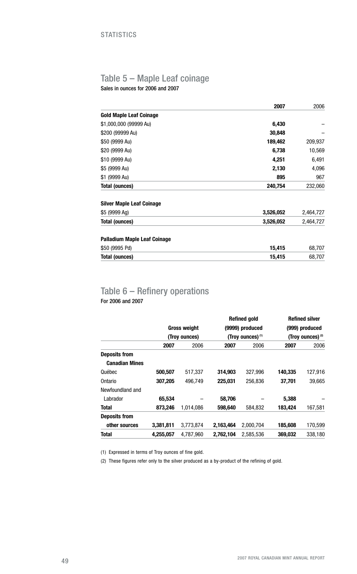## Table 5 – Maple Leaf coinage

Sales in ounces for 2006 and 2007

|                                     | 2007      | 2006      |
|-------------------------------------|-----------|-----------|
| <b>Gold Maple Leaf Coinage</b>      |           |           |
| \$1,000,000 (99999 Au)              | 6,430     |           |
| \$200 (99999 Au)                    | 30,848    |           |
| \$50 (9999 Au)                      | 189,462   | 209,937   |
| \$20 (9999 Au)                      | 6,738     | 10,569    |
| \$10 (9999 Au)                      | 4,251     | 6,491     |
| \$5 (9999 Au)                       | 2,130     | 4,096     |
| \$1 (9999 Au)                       | 895       | 967       |
| <b>Total (ounces)</b>               | 240,754   | 232,060   |
| <b>Silver Maple Leaf Coinage</b>    |           |           |
| \$5 (9999 Ag)                       | 3,526,052 | 2,464,727 |
| <b>Total (ounces)</b>               | 3,526,052 | 2,464,727 |
| <b>Palladium Maple Leaf Coinage</b> |           |           |
| \$50 (9995 Pd)                      | 15,415    | 68,707    |
| <b>Total (ounces)</b>               | 15,415    | 68,707    |
|                                     |           |           |

## Table 6 – Refinery operations

For 2006 and 2007

|                       |                     |               |           | <b>Refined gold</b>          |         | <b>Refined silver</b> |  |
|-----------------------|---------------------|---------------|-----------|------------------------------|---------|-----------------------|--|
|                       | <b>Gross weight</b> |               |           | (9999) produced              |         | (999) produced        |  |
|                       |                     | (Troy ounces) |           | (Troy ounces) <sup>(1)</sup> |         | (Troy ounces) $(2)$   |  |
|                       | 2007                | 2006          | 2007      | 2006                         | 2007    | 2006                  |  |
| <b>Deposits from</b>  |                     |               |           |                              |         |                       |  |
| <b>Canadian Mines</b> |                     |               |           |                              |         |                       |  |
| Québec                | 500,507             | 517.337       | 314,903   | 327.996                      | 140,335 | 127,916               |  |
| Ontario               | 307,205             | 496.749       | 225,031   | 256.836                      | 37,701  | 39,665                |  |
| Newfoundland and      |                     |               |           |                              |         |                       |  |
| Labrador              | 65,534              |               | 58,706    |                              | 5,388   |                       |  |
| Total                 | 873,246             | 1.014.086     | 598,640   | 584.832                      | 183,424 | 167,581               |  |
| <b>Deposits from</b>  |                     |               |           |                              |         |                       |  |
| other sources         | 3,381,811           | 3,773,874     | 2,163,464 | 2,000,704                    | 185,608 | 170,599               |  |
| <b>Total</b>          | 4,255,057           | 4.787.960     | 2,762,104 | 2.585.536                    | 369,032 | 338,180               |  |
|                       |                     |               |           |                              |         |                       |  |

(1) Expressed in terms of Troy ounces of fine gold.

(2) These figures refer only to the silver produced as a by-product of the refining of gold.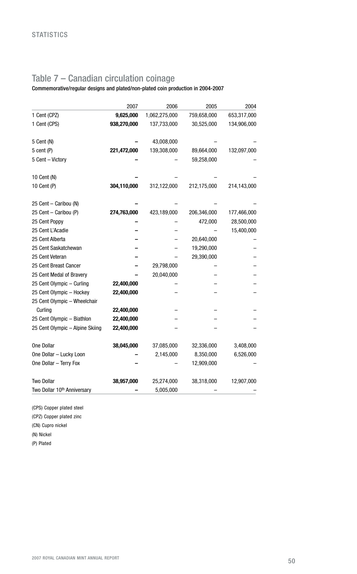## Table 7 – Canadian circulation coinage

Commemorative/regular designs and plated/non-plated coin production in 2004-2007

|                                         | 2007        | 2006          | 2005        | 2004                      |
|-----------------------------------------|-------------|---------------|-------------|---------------------------|
| 1 Cent (CPZ)                            | 9,625,000   | 1,062,275,000 | 759,658,000 | 653,317,000               |
| 1 Cent (CPS)                            | 938,270,000 | 137,733,000   | 30,525,000  | 134,906,000               |
|                                         |             |               |             |                           |
| 5 Cent (N)                              |             | 43,008,000    |             |                           |
| $5$ cent $(P)$                          | 221,472,000 | 139,308,000   | 89,664,000  | 132,097,000               |
| 5 Cent - Victory                        |             |               | 59,258,000  |                           |
| 10 Cent (N)                             |             |               |             |                           |
| 10 Cent (P)                             | 304,110,000 | 312,122,000   | 212,175,000 | 214,143,000               |
| 25 Cent - Caribou (N)                   |             |               |             |                           |
| 25 Cent - Caribou (P)                   |             | 423,189,000   | 206,346,000 |                           |
| 25 Cent Poppy                           | 274,763,000 |               | 472,000     | 177,466,000<br>28,500,000 |
| 25 Cent L'Acadie                        |             |               |             | 15,400,000                |
| 25 Cent Alberta                         |             |               | 20,640,000  |                           |
| 25 Cent Saskatchewan                    |             |               | 19,290,000  |                           |
| 25 Cent Veteran                         |             |               | 29,390,000  |                           |
| 25 Cent Breast Cancer                   |             | 29,798,000    |             |                           |
| 25 Cent Medal of Bravery                |             | 20,040,000    |             |                           |
| 25 Cent Olympic - Curling               | 22,400,000  |               |             |                           |
| 25 Cent Olympic - Hockey                | 22,400,000  |               |             |                           |
| 25 Cent Olympic - Wheelchair            |             |               |             |                           |
| Curling                                 | 22,400,000  |               |             |                           |
| 25 Cent Olympic - Biathlon              | 22,400,000  |               |             |                           |
| 25 Cent Olympic - Alpine Skiing         | 22,400,000  |               |             |                           |
| One Dollar                              |             |               |             |                           |
|                                         | 38,045,000  | 37,085,000    | 32,336,000  | 3,408,000                 |
| One Dollar - Lucky Loon                 |             | 2,145,000     | 8,350,000   | 6,526,000                 |
| One Dollar - Terry Fox                  |             |               | 12,909,000  |                           |
| <b>Two Dollar</b>                       | 38,957,000  | 25,274,000    | 38,318,000  | 12,907,000                |
| Two Dollar 10 <sup>th</sup> Anniversary |             | 5,005,000     |             |                           |

(CPS) Copper plated steel (CPZ) Copper plated zinc (CN) Cupro nickel

(N) Nickel

(P) Plated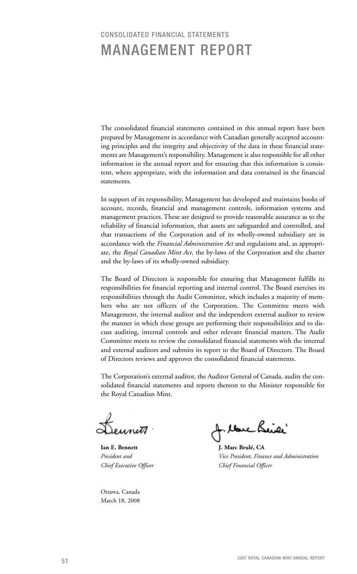# CONSOLIDATED FINANCIAL STATEMENTS MANAGEMENT REPORT

The consolidated financial statements contained in this annual report have been prepared by Management in accordance with Canadian generally accepted accounting principles and the integrity and objectivity of the data in these financial statements are Management's responsibility. Management is also responsible for all other information in the annual report and for ensuring that this information is consistent, where appropriate, with the information and data contained in the financial statements.

In support of its responsibility, Management has developed and maintains books of account, records, financial and management controls, information systems and management practices. These are designed to provide reasonable assurance as to the reliability of financial information, that assets are safeguarded and controlled, and that transactions of the Corporation and of its wholly-owned subsidiary are in accordance with the *Financial Administration Act* and regulations and, as appropriate, the *Royal Canadian Mint Act*, the by-laws of the Corporation and the charter and the by-laws of its wholly-owned subsidiary.

The Board of Directors is responsible for ensuring that Management fulfills its responsibilities for financial reporting and internal control. The Board exercises its responsibilities through the Audit Committee, which includes a majority of members who are not officers of the Corporation. The Committee meets with Management, the internal auditor and the independent external auditor to review the manner in which these groups are performing their responsibilities and to discuss auditing, internal controls and other relevant financial matters. The Audit Committee meets to review the consolidated financial statements with the internal and external auditors and submits its report to the Board of Directors. The Board of Directors reviews and approves the consolidated financial statements.

The Corporation's external auditor, the Auditor General of Canada, audits the consolidated financial statements and reports thereon to the Minister responsible for the Royal Canadian Mint.

Ottawa, Canada March 18, 2008

fille

**I. Marc Brulé, CA** *President and Vice President, Finance and Administration Chief Executive Officer Chief Financial Officer*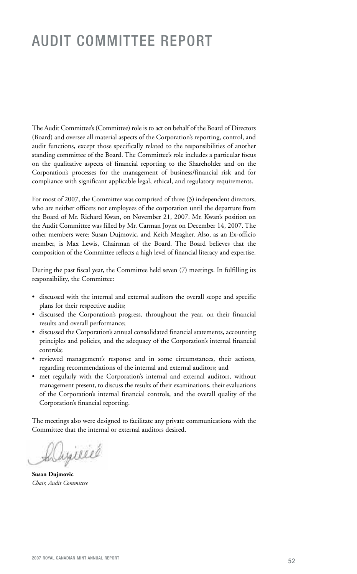# AUDIT COMMITTEE REPORT

The Audit Committee's (Committee) role is to act on behalf of the Board of Directors (Board) and oversee all material aspects of the Corporation's reporting, control, and audit functions, except those specifically related to the responsibilities of another standing committee of the Board. The Committee's role includes a particular focus on the qualitative aspects of financial reporting to the Shareholder and on the Corporation's processes for the management of business/financial risk and for compliance with significant applicable legal, ethical, and regulatory requirements.

For most of 2007, the Committee was comprised of three (3) independent directors, who are neither officers nor employees of the corporation until the departure from the Board of Mr. Richard Kwan, on November 21, 2007. Mr. Kwan's position on the Audit Committee was filled by Mr. Carman Joynt on December 14, 2007. The other members were: Susan Dujmovic, and Keith Meagher. Also, as an Ex-officio member, is Max Lewis, Chairman of the Board. The Board believes that the composition of the Committee reflects a high level of financial literacy and expertise.

During the past fiscal year, the Committee held seven (7) meetings. In fulfilling its responsibility, the Committee:

- discussed with the internal and external auditors the overall scope and specific plans for their respective audits;
- discussed the Corporation's progress, throughout the year, on their financial results and overall performance;
- discussed the Corporation's annual consolidated financial statements, accounting principles and policies, and the adequacy of the Corporation's internal financial controls;
- reviewed management's response and in some circumstances, their actions, regarding recommendations of the internal and external auditors; and
- met regularly with the Corporation's internal and external auditors, without management present, to discuss the results of their examinations, their evaluations of the Corporation's internal financial controls, and the overall quality of the Corporation's financial reporting.

The meetings also were designed to facilitate any private communications with the Committee that the internal or external auditors desired.

Dyreic

**Susan Dujmovic** *Chair, Audit Committee*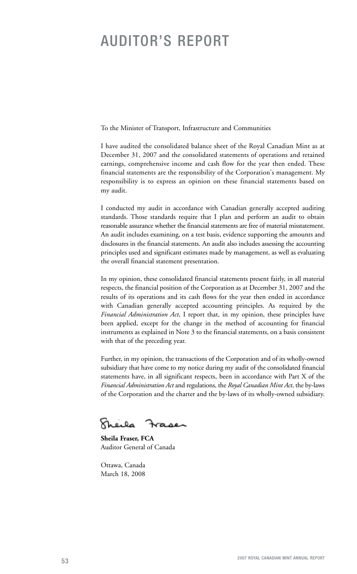# AUDITOR'S REPORT

To the Minister of Transport, Infrastructure and Communities

I have audited the consolidated balance sheet of the Royal Canadian Mint as at December 31, 2007 and the consolidated statements of operations and retained earnings, comprehensive income and cash flow for the year then ended. These financial statements are the responsibility of the Corporation's management. My responsibility is to express an opinion on these financial statements based on my audit.

I conducted my audit in accordance with Canadian generally accepted auditing standards. Those standards require that I plan and perform an audit to obtain reasonable assurance whether the financial statements are free of material misstatement. An audit includes examining, on a test basis, evidence supporting the amounts and disclosures in the financial statements. An audit also includes assessing the accounting principles used and significant estimates made by management, as well as evaluating the overall financial statement presentation.

In my opinion, these consolidated financial statements present fairly, in all material respects, the financial position of the Corporation as at December 31, 2007 and the results of its operations and its cash flows for the year then ended in accordance with Canadian generally accepted accounting principles. As required by the *Financial Administration Act*, I report that, in my opinion, these principles have been applied, except for the change in the method of accounting for financial instruments as explained in Note 3 to the financial statements, on a basis consistent with that of the preceding year.

Further, in my opinion, the transactions of the Corporation and of its wholly-owned subsidiary that have come to my notice during my audit of the consolidated financial statements have, in all significant respects, been in accordance with Part X of the *Financial Administration Act* and regulations, the *Royal Canadian Mint Act*, the by-laws of the Corporation and the charter and the by-laws of its wholly-owned subsidiary.

Kheila France

**Sheila Fraser, FCA** Auditor General of Canada

Ottawa, Canada March 18, 2008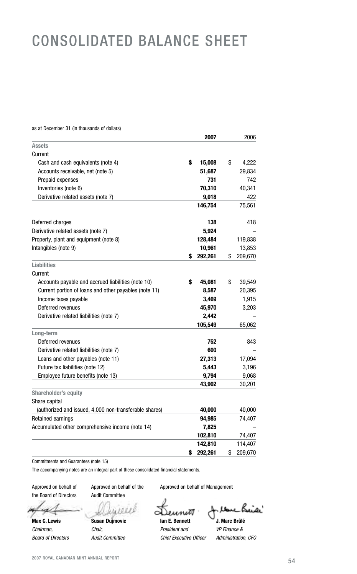# CONSOLIDATED BALANCE SHEET

as at December 31 (in thousands of dollars)

|                                                        | 2007          | 2006          |
|--------------------------------------------------------|---------------|---------------|
| <b>Assets</b>                                          |               |               |
| Current                                                |               |               |
| Cash and cash equivalents (note 4)                     | \$<br>15,008  | \$<br>4,222   |
| Accounts receivable, net (note 5)                      | 51,687        | 29,834        |
| Prepaid expenses                                       | 731           | 742           |
| Inventories (note 6)                                   | 70,310        | 40,341        |
| Derivative related assets (note 7)                     | 9,018         | 422           |
|                                                        | 146,754       | 75,561        |
| Deferred charges                                       | 138           | 418           |
| Derivative related assets (note 7)                     | 5,924         |               |
| Property, plant and equipment (note 8)                 | 128,484       | 119,838       |
| Intangibles (note 9)                                   | 10,961        | 13,853        |
|                                                        | \$<br>292,261 | \$<br>209,670 |
| <b>Liabilities</b>                                     |               |               |
| Current                                                |               |               |
| Accounts payable and accrued liabilities (note 10)     | \$<br>45,081  | \$<br>39,549  |
| Current portion of loans and other payables (note 11)  | 8,587         | 20,395        |
| Income taxes payable                                   | 3,469         | 1,915         |
| Deferred revenues                                      | 45,970        | 3,203         |
| Derivative related liabilities (note 7)                | 2,442         |               |
|                                                        | 105,549       | 65,062        |
| Long-term                                              |               |               |
| Deferred revenues                                      | 752           | 843           |
| Derivative related liabilities (note 7)                | 600           |               |
| Loans and other payables (note 11)                     | 27,313        | 17,094        |
| Future tax liabilities (note 12)                       | 5,443         | 3,196         |
| Employee future benefits (note 13)                     | 9,794         | 9,068         |
|                                                        | 43,902        | 30,201        |
| <b>Shareholder's equity</b>                            |               |               |
| Share capital                                          |               |               |
| (authorized and issued, 4,000 non-transferable shares) | 40,000        | 40,000        |
| Retained earnings                                      | 94,985        | 74,407        |
| Accumulated other comprehensive income (note 14)       | 7,825         |               |
|                                                        | 102,810       | 74,407        |
|                                                        | 142,810       | 114,407       |
|                                                        | \$<br>292,261 | \$<br>209,670 |
|                                                        |               |               |

Commitments and Guarantees (note 15)

The accompanying notes are an integral part of these consolidated financial statements.

Approved on behalf of Approved on behalf of the Approved on behalf of Management the Board of Directors Audit Committee

ucce

rennett Ò **Max C. Lewis Susan Dujmovic Ian E. Bennett J. Marc Brûlé**

لمشفز  $\mathbf{u}$ 

*Chairman, Chair, President and VP Finance & Board of Directors Audit Committee Chief Executive Officer Administration, CFO*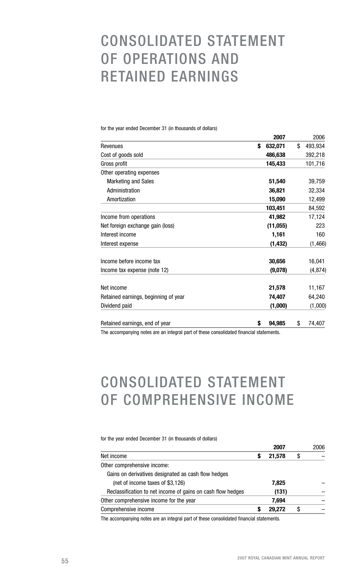# CONSOLIDATED STATEMENT OF OPERATIONS AND RETAINED EARNINGS

for the year ended December 31 (in thousands of dollars)

|                                      | 2007          | 2006          |
|--------------------------------------|---------------|---------------|
| Revenues                             | \$<br>632,071 | \$<br>493,934 |
| Cost of goods sold                   | 486,638       | 392,218       |
| Gross profit                         | 145,433       | 101,716       |
| Other operating expenses             |               |               |
| <b>Marketing and Sales</b>           | 51,540        | 39,759        |
| Administration                       | 36,821        | 32,334        |
| Amortization                         | 15,090        | 12,499        |
|                                      | 103,451       | 84,592        |
| Income from operations               | 41,982        | 17,124        |
| Net foreign exchange gain (loss)     | (11,055)      | 223           |
| Interest income                      | 1,161         | 160           |
| Interest expense                     | (1, 432)      | (1, 466)      |
| Income before income tax             | 30,656        | 16,041        |
| Income tax expense (note 12)         | (9,078)       | (4, 874)      |
| Net income                           | 21,578        | 11,167        |
| Retained earnings, beginning of year | 74,407        | 64,240        |
| Dividend paid                        | (1,000)       | (1,000)       |
| Retained earnings, end of year       | \$<br>94.985  | \$<br>74,407  |

The accompanying notes are an integral part of these consolidated financial statements.

# CONSOLIDATED STATEMENT OF COMPREHENSIVE INCOME

for the year ended December 31 (in thousands of dollars)

|                                                             | 2007   | 2006 |
|-------------------------------------------------------------|--------|------|
| Net income                                                  | 21,578 | \$   |
| Other comprehensive income:                                 |        |      |
| Gains on derivatives designated as cash flow hedges         |        |      |
| (net of income taxes of \$3,126)                            | 7,825  |      |
| Reclassification to net income of gains on cash flow hedges | (131)  |      |
| Other comprehensive income for the year                     | 7,694  |      |
| Comprehensive income                                        | 29.272 | \$   |
| .<br>.                                                      |        |      |

The accompanying notes are an integral part of these consolidated financial statements.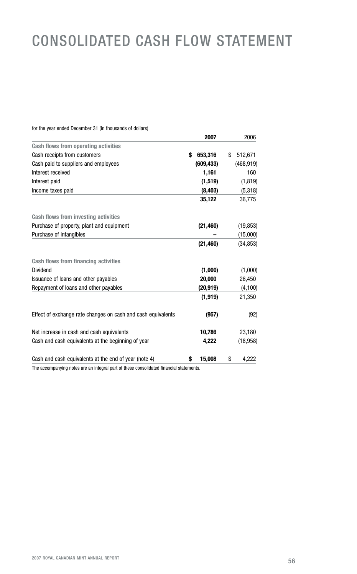# CONSOLIDATED CASH FLOW STATEMENT

for the year ended December 31 (in thousands of dollars)

|                                                              | 2007          | 2006          |
|--------------------------------------------------------------|---------------|---------------|
| <b>Cash flows from operating activities</b>                  |               |               |
| Cash receipts from customers                                 | \$<br>653,316 | \$<br>512,671 |
| Cash paid to suppliers and employees                         | (609, 433)    | (468, 919)    |
| Interest received                                            | 1,161         | 160           |
| Interest paid                                                | (1,519)       | (1, 819)      |
| Income taxes paid                                            | (8, 403)      | (5,318)       |
|                                                              | 35,122        | 36,775        |
| <b>Cash flows from investing activities</b>                  |               |               |
| Purchase of property, plant and equipment                    | (21, 460)     | (19, 853)     |
| Purchase of intangibles                                      |               | (15,000)      |
|                                                              | (21, 460)     | (34, 853)     |
| <b>Cash flows from financing activities</b>                  |               |               |
| <b>Dividend</b>                                              | (1,000)       | (1,000)       |
| Issuance of loans and other payables                         | 20,000        | 26,450        |
| Repayment of loans and other payables                        | (20, 919)     | (4, 100)      |
|                                                              | (1, 919)      | 21,350        |
| Effect of exchange rate changes on cash and cash equivalents | (957)         | (92)          |
| Net increase in cash and cash equivalents                    | 10,786        | 23,180        |
| Cash and cash equivalents at the beginning of year           | 4,222         | (18, 958)     |
| Cash and cash equivalents at the end of year (note 4)        | \$<br>15,008  | \$<br>4,222   |

The accompanying notes are an integral part of these consolidated financial statements.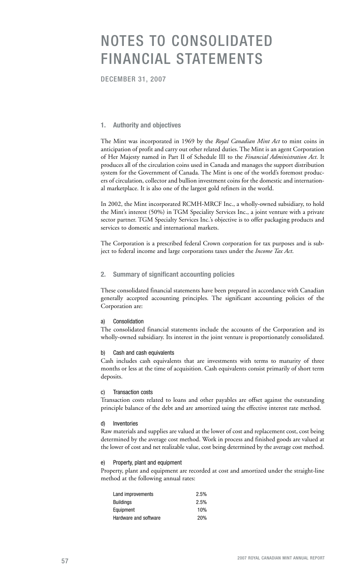# NOTES TO CONSOLIDATED FINANCIAL STATEMENTS

DECEMBER 31, 2007

#### **1. Authority and objectives**

The Mint was incorporated in 1969 by the *Royal Canadian Mint Act* to mint coins in anticipation of profit and carry out other related duties. The Mint is an agent Corporation of Her Majesty named in Part II of Schedule III to the *Financial Administration Act*. It produces all of the circulation coins used in Canada and manages the support distribution system for the Government of Canada. The Mint is one of the world's foremost producers of circulation, collector and bullion investment coins for the domestic and international marketplace. It is also one of the largest gold refiners in the world.

In 2002, the Mint incorporated RCMH-MRCF Inc., a wholly-owned subsidiary, to hold the Mint's interest (50%) in TGM Speciality Services Inc., a joint venture with a private sector partner. TGM Specialty Services Inc.'s objective is to offer packaging products and services to domestic and international markets.

The Corporation is a prescribed federal Crown corporation for tax purposes and is subject to federal income and large corporations taxes under the *Income Tax Act*.

#### **2. Summary of significant accounting policies**

These consolidated financial statements have been prepared in accordance with Canadian generally accepted accounting principles. The significant accounting policies of the Corporation are:

#### a) Consolidation

The consolidated financial statements include the accounts of the Corporation and its wholly-owned subsidiary. Its interest in the joint venture is proportionately consolidated.

#### b) Cash and cash equivalents

Cash includes cash equivalents that are investments with terms to maturity of three months or less at the time of acquisition. Cash equivalents consist primarily of short term deposits.

#### c) Transaction costs

Transaction costs related to loans and other payables are offset against the outstanding principle balance of the debt and are amortized using the effective interest rate method.

#### d) Inventories

Raw materials and supplies are valued at the lower of cost and replacement cost, cost being determined by the average cost method. Work in process and finished goods are valued at the lower of cost and net realizable value, cost being determined by the average cost method.

#### e) Property, plant and equipment

Property, plant and equipment are recorded at cost and amortized under the straight-line method at the following annual rates:

| 2.5% |
|------|
| 2.5% |
| 10%  |
| 20%  |
|      |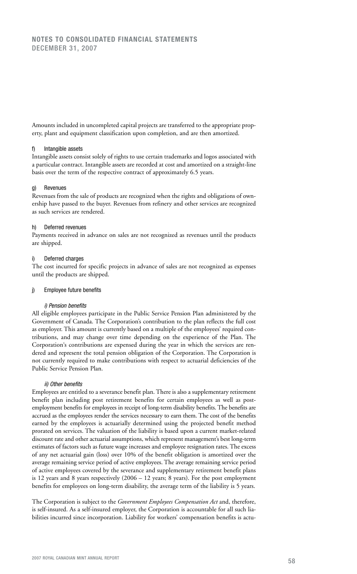Amounts included in uncompleted capital projects are transferred to the appropriate property, plant and equipment classification upon completion, and are then amortized.

#### Intangible assets

Intangible assets consist solely of rights to use certain trademarks and logos associated with a particular contract. Intangible assets are recorded at cost and amortized on a straight-line basis over the term of the respective contract of approximately 6.5 years.

#### g) Revenues

Revenues from the sale of products are recognized when the rights and obligations of ownership have passed to the buyer. Revenues from refinery and other services are recognized as such services are rendered.

#### h) Deferred revenues

Payments received in advance on sales are not recognized as revenues until the products are shipped.

#### i) Deferred charges

The cost incurred for specific projects in advance of sales are not recognized as expenses until the products are shipped.

#### j) Employee future benefits

#### *i) Pension benefits*

All eligible employees participate in the Public Service Pension Plan administered by the Government of Canada. The Corporation's contribution to the plan reflects the full cost as employer. This amount is currently based on a multiple of the employees' required contributions, and may change over time depending on the experience of the Plan. The Corporation's contributions are expensed during the year in which the services are rendered and represent the total pension obligation of the Corporation. The Corporation is not currently required to make contributions with respect to actuarial deficiencies of the Public Service Pension Plan.

#### *ii) Other benefits*

Employees are entitled to a severance benefit plan. There is also a supplementary retirement benefit plan including post retirement benefits for certain employees as well as postemployment benefits for employees in receipt of long-term disability benefits. The benefits are accrued as the employees render the services necessary to earn them. The cost of the benefits earned by the employees is actuarially determined using the projected benefit method prorated on services. The valuation of the liability is based upon a current market-related discount rate and other actuarial assumptions, which represent management's best long-term estimates of factors such as future wage increases and employee resignation rates. The excess of any net actuarial gain (loss) over 10% of the benefit obligation is amortized over the average remaining service period of active employees. The average remaining service period of active employees covered by the severance and supplementary retirement benefit plans is 12 years and 8 years respectively (2006 – 12 years; 8 years). For the post employment benefits for employees on long-term disability, the average term of the liability is 5 years.

The Corporation is subject to the *Government Employees Compensation Act* and, therefore, is self-insured. As a self-insured employer, the Corporation is accountable for all such liabilities incurred since incorporation. Liability for workers' compensation benefits is actu-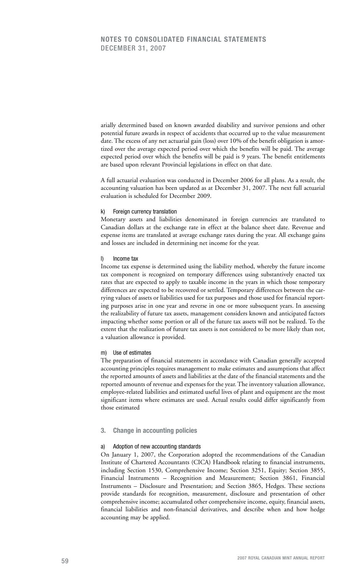arially determined based on known awarded disability and survivor pensions and other potential future awards in respect of accidents that occurred up to the value measurement date. The excess of any net actuarial gain (loss) over 10% of the benefit obligation is amortized over the average expected period over which the benefits will be paid. The average expected period over which the benefits will be paid is 9 years. The benefit entitlements are based upon relevant Provincial legislations in effect on that date.

A full actuarial evaluation was conducted in December 2006 for all plans. As a result, the accounting valuation has been updated as at December 31, 2007. The next full actuarial evaluation is scheduled for December 2009.

#### k) Foreign currency translation

Monetary assets and liabilities denominated in foreign currencies are translated to Canadian dollars at the exchange rate in effect at the balance sheet date. Revenue and expense items are translated at average exchange rates during the year. All exchange gains and losses are included in determining net income for the year.

#### l) Income tax

Income tax expense is determined using the liability method, whereby the future income tax component is recognized on temporary differences using substantively enacted tax rates that are expected to apply to taxable income in the years in which those temporary differences are expected to be recovered or settled. Temporary differences between the carrying values of assets or liabilities used for tax purposes and those used for financial reporting purposes arise in one year and reverse in one or more subsequent years. In assessing the realizability of future tax assets, management considers known and anticipated factors impacting whether some portion or all of the future tax assets will not be realized. To the extent that the realization of future tax assets is not considered to be more likely than not, a valuation allowance is provided.

#### m) Use of estimates

The preparation of financial statements in accordance with Canadian generally accepted accounting principles requires management to make estimates and assumptions that affect the reported amounts of assets and liabilities at the date of the financial statements and the reported amounts of revenue and expenses for the year. The inventory valuation allowance, employee-related liabilities and estimated useful lives of plant and equipment are the most significant items where estimates are used. Actual results could differ significantly from those estimated

#### **3. Change in accounting policies**

#### a) Adoption of new accounting standards

On January 1, 2007, the Corporation adopted the recommendations of the Canadian Institute of Chartered Accountants (CICA) Handbook relating to financial instruments, including Section 1530, Comprehensive Income; Section 3251, Equity; Section 3855, Financial Instruments – Recognition and Measurement; Section 3861, Financial Instruments – Disclosure and Presentation; and Section 3865, Hedges. These sections provide standards for recognition, measurement, disclosure and presentation of other comprehensive income; accumulated other comprehensive income, equity, financial assets, financial liabilities and non-financial derivatives, and describe when and how hedge accounting may be applied.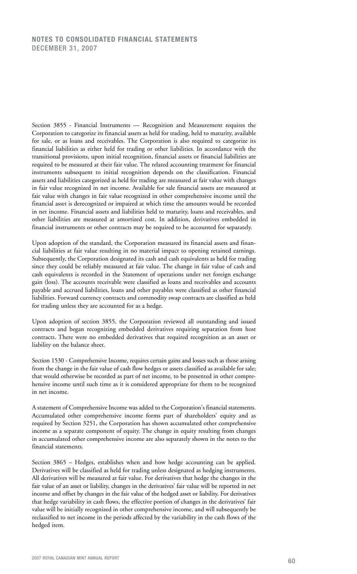Section 3855 - Financial Instruments — Recognition and Measurement requires the Corporation to categorize its financial assets as held for trading, held to maturity, available for sale, or as loans and receivables. The Corporation is also required to categorize its financial liabilities as either held for trading or other liabilities. In accordance with the transitional provisions, upon initial recognition, financial assets or financial liabilities are required to be measured at their fair value. The related accounting treatment for financial instruments subsequent to initial recognition depends on the classification. Financial assets and liabilities categorized as held for trading are measured at fair value with changes in fair value recognized in net income. Available for sale financial assets are measured at fair value with changes in fair value recognized in other comprehensive income until the financial asset is derecognized or impaired at which time the amounts would be recorded in net income. Financial assets and liabilities held to maturity, loans and receivables, and other liabilities are measured at amortized cost. In addition, derivatives embedded in financial instruments or other contracts may be required to be accounted for separately.

Upon adoption of the standard, the Corporation measured its financial assets and financial liabilities at fair value resulting in no material impact to opening retained earnings. Subsequently, the Corporation designated its cash and cash equivalents as held for trading since they could be reliably measured at fair value. The change in fair value of cash and cash equivalents is recorded in the Statement of operations under net foreign exchange gain (loss). The accounts receivable were classified as loans and receivables and accounts payable and accrued liabilities, loans and other payables were classified as other financial liabilities. Forward currency contracts and commodity swap contracts are classified as held for trading unless they are accounted for as a hedge.

Upon adoption of section 3855, the Corporation reviewed all outstanding and issued contracts and began recognizing embedded derivatives requiring separation from host contracts. There were no embedded derivatives that required recognition as an asset or liability on the balance sheet.

Section 1530 - Comprehensive Income, requires certain gains and losses such as those arising from the change in the fair value of cash flow hedges or assets classified as available for sale; that would otherwise be recorded as part of net income, to be presented in other comprehensive income until such time as it is considered appropriate for them to be recognized in net income.

A statement of Comprehensive Income was added to the Corporation's financial statements. Accumulated other comprehensive income forms part of shareholders' equity and as required by Section 3251, the Corporation has shown accumulated other comprehensive income as a separate component of equity. The change in equity resulting from changes in accumulated other comprehensive income are also separately shown in the notes to the financial statements.

Section 3865 – Hedges, establishes when and how hedge accounting can be applied. Derivatives will be classified as held for trading unless designated as hedging instruments. All derivatives will be measured at fair value. For derivatives that hedge the changes in the fair value of an asset or liability, changes in the derivatives' fair value will be reported in net income and offset by changes in the fair value of the hedged asset or liability. For derivatives that hedge variability in cash flows, the effective portion of changes in the derivatives' fair value will be initially recognized in other comprehensive income, and will subsequently be reclassified to net income in the periods affected by the variability in the cash flows of the hedged item.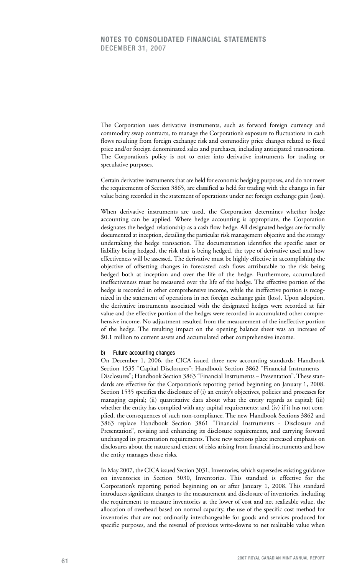The Corporation uses derivative instruments, such as forward foreign currency and commodity swap contracts, to manage the Corporation's exposure to fluctuations in cash flows resulting from foreign exchange risk and commodity price changes related to fixed price and/or foreign denominated sales and purchases, including anticipated transactions. The Corporation's policy is not to enter into derivative instruments for trading or speculative purposes.

Certain derivative instruments that are held for economic hedging purposes, and do not meet the requirements of Section 3865, are classified as held for trading with the changes in fair value being recorded in the statement of operations under net foreign exchange gain (loss).

When derivative instruments are used, the Corporation determines whether hedge accounting can be applied. Where hedge accounting is appropriate, the Corporation designates the hedged relationship as a cash flow hedge. All designated hedges are formally documented at inception, detailing the particular risk management objective and the strategy undertaking the hedge transaction. The documentation identifies the specific asset or liability being hedged, the risk that is being hedged, the type of derivative used and how effectiveness will be assessed. The derivative must be highly effective in accomplishing the objective of offsetting changes in forecasted cash flows attributable to the risk being hedged both at inception and over the life of the hedge. Furthermore, accumulated ineffectiveness must be measured over the life of the hedge. The effective portion of the hedge is recorded in other comprehensive income, while the ineffective portion is recognized in the statement of operations in net foreign exchange gain (loss). Upon adoption, the derivative instruments associated with the designated hedges were recorded at fair value and the effective portion of the hedges were recorded in accumulated other comprehensive income. No adjustment resulted from the measurement of the ineffective portion of the hedge. The resulting impact on the opening balance sheet was an increase of \$0.1 million to current assets and accumulated other comprehensive income.

#### b) Future accounting changes

On December 1, 2006, the CICA issued three new accounting standards: Handbook Section 1535 "Capital Disclosures"; Handbook Section 3862 "Financial Instruments – Disclosures"; Handbook Section 3863 "Financial Instruments – Presentation". These standards are effective for the Corporation's reporting period beginning on January 1, 2008. Section 1535 specifies the disclosure of (i) an entity's objectives, policies and processes for managing capital; (ii) quantitative data about what the entity regards as capital; (iii) whether the entity has complied with any capital requirements; and (iv) if it has not complied, the consequences of such non-compliance. The new Handbook Sections 3862 and 3863 replace Handbook Section 3861 "Financial Instruments - Disclosure and Presentation", revising and enhancing its disclosure requirements, and carrying forward unchanged its presentation requirements. These new sections place increased emphasis on disclosures about the nature and extent of risks arising from financial instruments and how the entity manages those risks.

In May 2007, the CICA issued Section 3031, Inventories, which supersedes existing guidance on inventories in Section 3030, Inventories. This standard is effective for the Corporation's reporting period beginning on or after January 1, 2008. This standard introduces significant changes to the measurement and disclosure of inventories, including the requirement to measure inventories at the lower of cost and net realizable value, the allocation of overhead based on normal capacity, the use of the specific cost method for inventories that are not ordinarily interchangeable for goods and services produced for specific purposes, and the reversal of previous write-downs to net realizable value when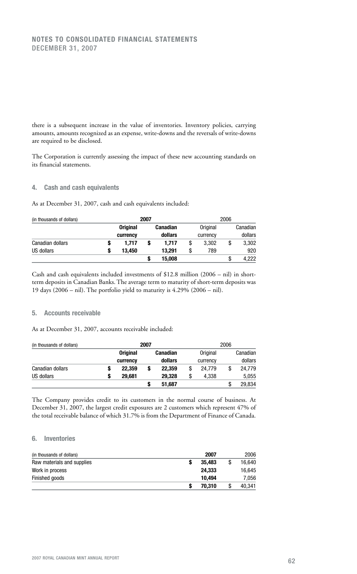there is a subsequent increase in the value of inventories. Inventory policies, carrying amounts, amounts recognized as an expense, write-downs and the reversals of write-downs are required to be disclosed.

The Corporation is currently assessing the impact of these new accounting standards on its financial statements.

#### **4. Cash and cash equivalents**

As at December 31, 2007, cash and cash equivalents included:

| (in thousands of dollars) |   | 2007            |  |                 |   |          | 2006 |          |  |  |
|---------------------------|---|-----------------|--|-----------------|---|----------|------|----------|--|--|
|                           |   | <b>Original</b> |  | <b>Canadian</b> |   | Original |      | Canadian |  |  |
|                           |   | currency        |  | dollars         |   | currency |      | dollars  |  |  |
| Canadian dollars          | S | 1.717           |  | 1.717           |   | 3.302    | \$   | 3,302    |  |  |
| US dollars                | S | 13.450          |  | 13.291          | S | 789      |      | 920      |  |  |
|                           |   |                 |  | 15,008          |   |          | S    | 4.222    |  |  |

Cash and cash equivalents included investments of \$12.8 million (2006 – nil) in shortterm deposits in Canadian Banks. The average term to maturity of short-term deposits was 19 days (2006 – nil). The portfolio yield to maturity is 4.29% (2006 – nil).

#### **5. Accounts receivable**

As at December 31, 2007, accounts receivable included:

| (in thousands of dollars) | 2007                               |   |         |          |          | 2006 |         |  |  |
|---------------------------|------------------------------------|---|---------|----------|----------|------|---------|--|--|
|                           | <b>Original</b><br><b>Canadian</b> |   |         | Original | Canadian |      |         |  |  |
|                           | currency                           |   | dollars |          | currency |      | dollars |  |  |
| Canadian dollars          | 22,359                             | S | 22,359  | \$       | 24.779   | \$   | 24,779  |  |  |
| US dollars                | 29,681                             |   | 29.328  | \$       | 4.338    |      | 5,055   |  |  |
|                           |                                    | S | 51.687  |          |          | S    | 29,834  |  |  |

The Company provides credit to its customers in the normal course of business. At December 31, 2007, the largest credit exposures are 2 customers which represent 47% of the total receivable balance of which 31.7% is from the Department of Finance of Canada.

#### **6. Inventories**

| (in thousands of dollars)  | 2007   | 2006         |
|----------------------------|--------|--------------|
| Raw materials and supplies | 35.483 | \$<br>16.640 |
| Work in process            | 24.333 | 16.645       |
| Finished goods             | 10.494 | 7.056        |
|                            | 70.310 | 40.341       |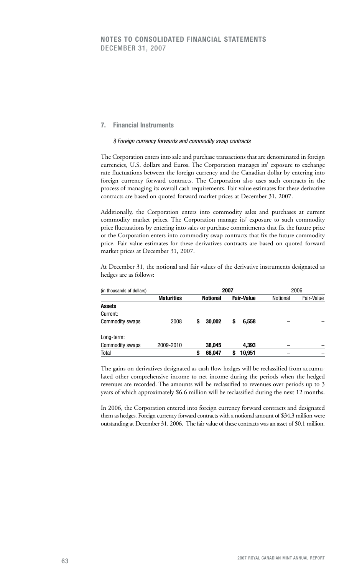#### **7. Financial Instruments**

#### *i) Foreign currency forwards and commodity swap contracts*

The Corporation enters into sale and purchase transactions that are denominated in foreign currencies, U.S. dollars and Euros. The Corporation manages its' exposure to exchange rate fluctuations between the foreign currency and the Canadian dollar by entering into foreign currency forward contracts. The Corporation also uses such contracts in the process of managing its overall cash requirements. Fair value estimates for these derivative contracts are based on quoted forward market prices at December 31, 2007.

Additionally, the Corporation enters into commodity sales and purchases at current commodity market prices. The Corporation manage its' exposure to such commodity price fluctuations by entering into sales or purchase commitments that fix the future price or the Corporation enters into commodity swap contracts that fix the future commodity price. Fair value estimates for these derivatives contracts are based on quoted forward market prices at December 31, 2007.

At December 31, the notional and fair values of the derivative instruments designated as hedges are as follows:

| (in thousands of dollars) |                   |    |                 | 2007 |                   |          | 2006       |
|---------------------------|-------------------|----|-----------------|------|-------------------|----------|------------|
|                           | <b>Maturities</b> |    | <b>Notional</b> |      | <b>Fair-Value</b> | Notional | Fair-Value |
| <b>Assets</b>             |                   |    |                 |      |                   |          |            |
| Current:                  |                   |    |                 |      |                   |          |            |
| Commodity swaps           | 2008              | \$ | 30,002          | s    | 6,558             |          |            |
| Long-term:                |                   |    |                 |      |                   |          |            |
| Commodity swaps           | 2009-2010         |    | 38,045          |      | 4,393             |          |            |
| Total                     |                   | \$ | 68,047          | \$   | 10,951            |          |            |

The gains on derivatives designated as cash flow hedges will be reclassified from accumulated other comprehensive income to net income during the periods when the hedged revenues are recorded. The amounts will be reclassified to revenues over periods up to 3 years of which approximately \$6.6 million will be reclassified during the next 12 months.

In 2006, the Corporation entered into foreign currency forward contracts and designated them as hedges. Foreign currency forward contracts with a notional amount of \$34.3 million were outstanding at December 31, 2006. The fair value of these contracts was an asset of \$0.1 million.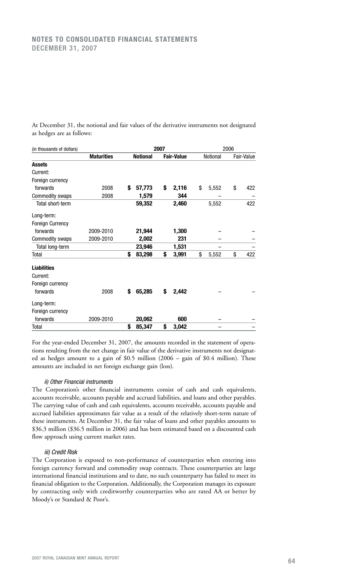At December 31, the notional and fair values of the derivative instruments not designated as hedges are as follows:

| (in thousands of dollars) |                   | 2007 |                 |    |                   |          |       | 2006       |     |  |  |  |
|---------------------------|-------------------|------|-----------------|----|-------------------|----------|-------|------------|-----|--|--|--|
|                           | <b>Maturities</b> |      | <b>Notional</b> |    | <b>Fair-Value</b> | Notional |       | Fair-Value |     |  |  |  |
| <b>Assets</b>             |                   |      |                 |    |                   |          |       |            |     |  |  |  |
| Current:                  |                   |      |                 |    |                   |          |       |            |     |  |  |  |
| Foreign currency          |                   |      |                 |    |                   |          |       |            |     |  |  |  |
| forwards                  | 2008              | \$   | 57,773          | \$ | 2,116             | \$       | 5,552 | \$         | 422 |  |  |  |
| Commodity swaps           | 2008              |      | 1,579           |    | 344               |          |       |            |     |  |  |  |
| Total short-term          |                   |      | 59,352          |    | 2,460             |          | 5,552 |            | 422 |  |  |  |
| Long-term:                |                   |      |                 |    |                   |          |       |            |     |  |  |  |
| <b>Foreign Currency</b>   |                   |      |                 |    |                   |          |       |            |     |  |  |  |
| forwards                  | 2009-2010         |      | 21,944          |    | 1,300             |          |       |            |     |  |  |  |
| Commodity swaps           | 2009-2010         |      | 2,002           |    | 231               |          |       |            |     |  |  |  |
| Total long-term           |                   |      | 23,946          |    | 1,531             |          |       |            |     |  |  |  |
| Total                     |                   | \$   | 83,298          | \$ | 3,991             | \$       | 5,552 | \$         | 422 |  |  |  |
| <b>Liabilities</b>        |                   |      |                 |    |                   |          |       |            |     |  |  |  |
| Current:                  |                   |      |                 |    |                   |          |       |            |     |  |  |  |
| Foreign currency          |                   |      |                 |    |                   |          |       |            |     |  |  |  |
| forwards                  | 2008              | \$   | 65,285          | \$ | 2,442             |          |       |            |     |  |  |  |
| Long-term:                |                   |      |                 |    |                   |          |       |            |     |  |  |  |
| Foreign currency          |                   |      |                 |    |                   |          |       |            |     |  |  |  |
| forwards                  | 2009-2010         |      | 20,062          |    | 600               |          |       |            |     |  |  |  |
| Total                     |                   | \$   | 85,347          | \$ | 3,042             |          |       |            |     |  |  |  |

For the year-ended December 31, 2007, the amounts recorded in the statement of operations resulting from the net change in fair value of the derivative instruments not designated as hedges amount to a gain of \$0.5 million (2006 – gain of \$0.4 million). These amounts are included in net foreign exchange gain (loss).

#### *ii) Other Financial instruments*

The Corporation's other financial instruments consist of cash and cash equivalents, accounts receivable, accounts payable and accrued liabilities, and loans and other payables. The carrying value of cash and cash equivalents, accounts receivable, accounts payable and accrued liabilities approximates fair value as a result of the relatively short-term nature of these instruments. At December 31, the fair value of loans and other payables amounts to \$36.3 million (\$36.5 million in 2006) and has been estimated based on a discounted cash flow approach using current market rates.

#### *iii) Credit Risk*

The Corporation is exposed to non-performance of counterparties when entering into foreign currency forward and commodity swap contracts. These counterparties are large international financial institutions and to date, no such counterparty has failed to meet its financial obligation to the Corporation. Additionally, the Corporation manages its exposure by contracting only with creditworthy counterparties who are rated AA or better by Moody's or Standard & Poor's.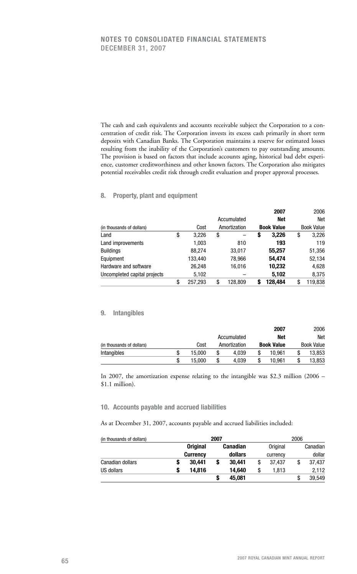The cash and cash equivalents and accounts receivable subject the Corporation to a concentration of credit risk. The Corporation invests its excess cash primarily in short term deposits with Canadian Banks. The Corporation maintains a reserve for estimated losses resulting from the inability of the Corporation's customers to pay outstanding amounts. The provision is based on factors that include accounts aging, historical bad debt experience, customer creditworthiness and other known factors. The Corporation also mitigates potential receivables credit risk through credit evaluation and proper approval processes.

#### **8. Property, plant and equipment**

|                              |               |               |   | 2007              | 2006              |
|------------------------------|---------------|---------------|---|-------------------|-------------------|
|                              |               | Accumulated   |   | <b>Net</b>        | Net               |
| (in thousands of dollars)    | Cost          | Amortization  |   | <b>Book Value</b> | <b>Book Value</b> |
| Land                         | \$<br>3.226   | \$            | S | 3.226             | \$<br>3,226       |
| Land improvements            | 1,003         | 810           |   | 193               | 119               |
| <b>Buildings</b>             | 88,274        | 33,017        |   | 55,257            | 51,356            |
| Equipment                    | 133,440       | 78,966        |   | 54.474            | 52,134            |
| Hardware and software        | 26,248        | 16.016        |   | 10,232            | 4,628             |
| Uncompleted capital projects | 5,102         |               |   | 5,102             | 8,375             |
|                              | \$<br>257,293 | \$<br>128.809 | S | 128.484           | \$<br>119,838     |

#### **9. Intangibles**

|                           |   |        |              |             |                   |            |                   | 2006   |
|---------------------------|---|--------|--------------|-------------|-------------------|------------|-------------------|--------|
|                           |   |        |              | Accumulated |                   | <b>Net</b> |                   | Net    |
| (in thousands of dollars) |   | Cost   | Amortization |             | <b>Book Value</b> |            | <b>Book Value</b> |        |
| Intangibles               |   | 15.000 | S            | 4.039       |                   | 10.961     |                   | 13,853 |
|                           | S | 15.000 | S            | 4.039       |                   | 10.961     | S                 | 13.853 |

In 2007, the amortization expense relating to the intangible was \$2.3 million (2006 – \$1.1 million).

#### **10. Accounts payable and accrued liabilities**

As at December 31, 2007, accounts payable and accrued liabilities included:

| (in thousands of dollars) |   | 2007                                                             |  |        |                      |        |          | 2006   |  |  |  |
|---------------------------|---|------------------------------------------------------------------|--|--------|----------------------|--------|----------|--------|--|--|--|
|                           |   | <b>Original</b><br><b>Canadian</b><br>dollars<br><b>Currency</b> |  |        | Original<br>currency |        | Canadian |        |  |  |  |
|                           |   |                                                                  |  |        |                      |        | dollar   |        |  |  |  |
| Canadian dollars          | s | 30.441                                                           |  | 30.441 |                      | 37.437 | \$       | 37.437 |  |  |  |
| US dollars                | S | 14.816                                                           |  | 14.640 | \$                   | 1.813  |          | 2.112  |  |  |  |
|                           |   |                                                                  |  | 45,081 |                      |        | S        | 39.549 |  |  |  |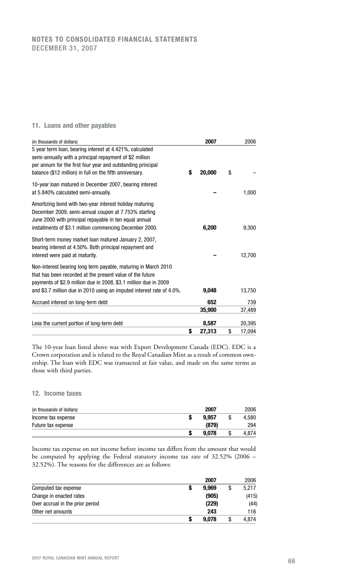#### **11. Loans and other payables**

| (in thousands of dollars)                                                                                                                                                                                                                                                | 2007                  | 2006                   |
|--------------------------------------------------------------------------------------------------------------------------------------------------------------------------------------------------------------------------------------------------------------------------|-----------------------|------------------------|
| 5 year term loan, bearing interest at 4.421%, calculated<br>semi-annually with a principal repayment of \$2 million<br>per annum for the first four year and outstanding principal                                                                                       |                       |                        |
| balance (\$12 million) in full on the fifth anniversary.                                                                                                                                                                                                                 | \$<br>20,000          | \$                     |
| 10-year loan matured in December 2007, bearing interest<br>at 5.840% calculated semi-annually.                                                                                                                                                                           |                       | 1,000                  |
| Amortizing bond with two-year interest holiday maturing<br>December 2009, semi-annual coupon at 7.753% starting<br>June 2000 with principal repayable in ten equal annual<br>installments of \$3.1 million commencing December 2000.                                     | 6,200                 | 9,300                  |
| Short-term money market loan matured January 2, 2007,<br>bearing interest at 4.50%. Both principal repayment and<br>interest were paid at maturity.                                                                                                                      |                       | 12,700                 |
| Non-interest bearing long term payable, maturing in March 2010<br>that has been recorded at the present value of the future<br>payments of \$2.9 million due in 2008, \$3.1 million due in 2009<br>and \$3.7 million due in 2010 using an imputed interest rate of 4.0%. | 9,048                 | 13,750                 |
| Accrued interest on long-term debt                                                                                                                                                                                                                                       | 652                   | 739                    |
|                                                                                                                                                                                                                                                                          | 35,900                | 37,489                 |
| Less the current portion of long-term debt                                                                                                                                                                                                                               | \$<br>8,587<br>27,313 | \$<br>20,395<br>17,094 |
|                                                                                                                                                                                                                                                                          |                       |                        |

The 10-year loan listed above was with Export Development Canada (EDC). EDC is a Crown corporation and is related to the Royal Canadian Mint as a result of common ownership. The loan with EDC was transacted at fair value, and made on the same terms as those with third parties.

#### **12. Income taxes**

| (in thousands of dollars) |   | 2007  |   | 2006  |
|---------------------------|---|-------|---|-------|
| Income tax expense        |   | 9.957 | S | 4.580 |
| Future tax expense        |   | (879) |   | 294   |
|                           | S | 9.078 |   | 4.874 |

Income tax expense on net income before income tax differs from the amount that would be computed by applying the Federal statutory income tax rate of 32.52% (2006 – 32.52%). The reasons for the differences are as follows:

|                                  |   | 2007  |    | 2006  |
|----------------------------------|---|-------|----|-------|
| Computed tax expense             | S | 9.969 | \$ | 5.217 |
| Change in enacted rates          |   | (905) |    | (415) |
| Over accrual in the prior period |   | (229) |    | (44)  |
| Other net amounts                |   | 243   |    | 116   |
|                                  | S | 9.078 | S  | 4.874 |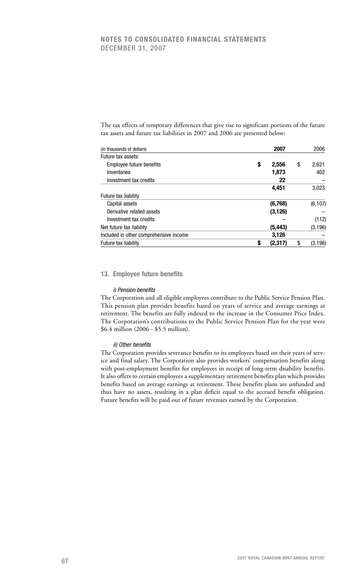The tax effects of temporary differences that give rise to significant portions of the future tax assets and future tax liabilities in 2007 and 2006 are presented below:

| (in thousands of dollars)              | 2007           | 2006           |
|----------------------------------------|----------------|----------------|
| Future tax assets:                     |                |                |
| Employee future benefits               | \$<br>2,556    | \$<br>2,621    |
| Inventories                            | 1,873          | 402            |
| Investment tax credits                 | 22             |                |
|                                        | 4,451          | 3,023          |
| Future tax liability                   |                |                |
| Capital assets                         | (6,768)        | (6, 107)       |
| Derivative related assets              | (3, 126)       |                |
| Investment tax credits                 |                | (112)          |
| Net future tax liability               | (5, 443)       | (3, 196)       |
| Included in other comprehensive income | 3,126          |                |
| Future tax liability                   | \$<br>(2, 317) | \$<br>(3, 196) |

#### **13. Employee future benefits**

#### *i) Pension benefits*

The Corporation and all eligible employees contribute to the Public Service Pension Plan. This pension plan provides benefits based on years of service and average earnings at retirement. The benefits are fully indexed to the increase in the Consumer Price Index. The Corporation's contributions to the Public Service Pension Plan for the year were \$6.4 million (2006 - \$5.5 million).

#### *ii) Other benefits*

The Corporation provides severance benefits to its employees based on their years of service and final salary. The Corporation also provides workers' compensation benefits along with post-employment benefits for employees in receipt of long-term disability benefits. It also offers to certain employees a supplementary retirement benefits plan which provides benefits based on average earnings at retirement. These benefits plans are unfunded and thus have no assets, resulting in a plan deficit equal to the accrued benefit obligation. Future benefits will be paid out of future revenues earned by the Corporation.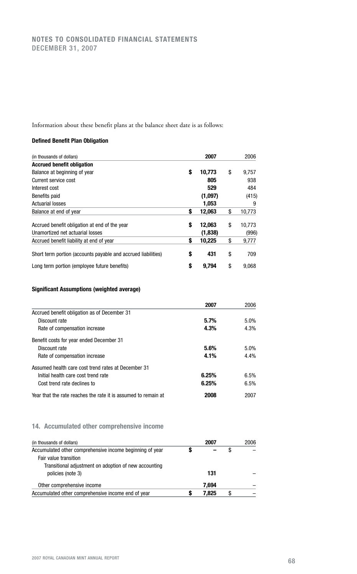Information about these benefit plans at the balance sheet date is as follows:

## **Defined Benefit Plan Obligation**

| (in thousands of dollars)                                     | 2007         | 2006         |
|---------------------------------------------------------------|--------------|--------------|
| <b>Accrued benefit obligation</b>                             |              |              |
| Balance at beginning of year                                  | \$<br>10,773 | \$<br>9,757  |
| Current service cost                                          | 805          | 938          |
| Interest cost                                                 | 529          | 484          |
| Benefits paid                                                 | (1,097)      | (415)        |
| <b>Actuarial losses</b>                                       | 1,053        | 9            |
| Balance at end of year                                        | \$<br>12,063 | \$<br>10,773 |
| Accrued benefit obligation at end of the year                 | \$<br>12,063 | \$<br>10,773 |
| Unamortized net actuarial losses                              | (1,838)      | (996)        |
| Accrued benefit liability at end of year                      | \$<br>10,225 | \$<br>9,777  |
| Short term portion (accounts payable and accrued liabilities) | \$<br>431    | \$<br>709    |
| Long term portion (employee future benefits)                  | \$<br>9,794  | \$<br>9,068  |

#### **Significant Assumptions (weighted average)**

|                                                                | 2007  | 2006 |
|----------------------------------------------------------------|-------|------|
| Accrued benefit obligation as of December 31                   |       |      |
| Discount rate                                                  | 5.7%  | 5.0% |
| Rate of compensation increase                                  | 4.3%  | 4.3% |
| Benefit costs for year ended December 31                       |       |      |
| Discount rate                                                  | 5.6%  | 5.0% |
| Rate of compensation increase                                  | 4.1%  | 4.4% |
| Assumed health care cost trend rates at December 31            |       |      |
| Initial health care cost trend rate                            | 6.25% | 6.5% |
| Cost trend rate declines to                                    | 6.25% | 6.5% |
| Year that the rate reaches the rate it is assumed to remain at | 2008  | 2007 |

#### **14. Accumulated other comprehensive income**

| (in thousands of dollars)                                | 2007  |   | 2006 |
|----------------------------------------------------------|-------|---|------|
| Accumulated other comprehensive income beginning of year |       | S |      |
| Fair value transition                                    |       |   |      |
| Transitional adjustment on adoption of new accounting    |       |   |      |
| policies (note 3)                                        | 131   |   |      |
| Other comprehensive income                               | 7.694 |   |      |
| Accumulated other comprehensive income end of year       | 7.825 | S |      |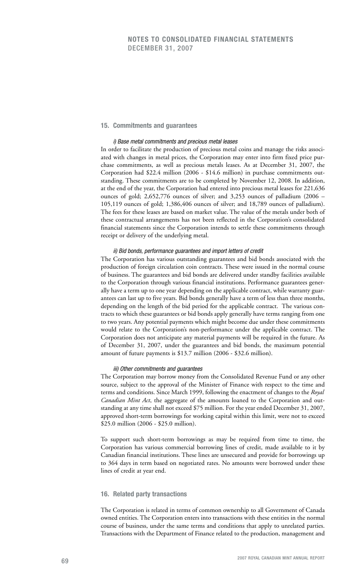#### **15. Commitments and guarantees**

#### *i) Base metal commitments and precious metal leases*

In order to facilitate the production of precious metal coins and manage the risks associated with changes in metal prices, the Corporation may enter into firm fixed price purchase commitments, as well as precious metals leases. As at December 31, 2007, the Corporation had \$22.4 million (2006 - \$14.6 million) in purchase commitments outstanding. These commitments are to be completed by November 12, 2008. In addition, at the end of the year, the Corporation had entered into precious metal leases for 221,636 ounces of gold; 2,652,776 ounces of silver; and 3,253 ounces of palladium (2006 – 105,119 ounces of gold; 1,386,406 ounces of silver; and 18,789 ounces of palladium). The fees for these leases are based on market value. The value of the metals under both of these contractual arrangements has not been reflected in the Corporation's consolidated financial statements since the Corporation intends to settle these commitments through receipt or delivery of the underlying metal.

#### *ii) Bid bonds, performance guarantees and import letters of credit*

The Corporation has various outstanding guarantees and bid bonds associated with the production of foreign circulation coin contracts. These were issued in the normal course of business. The guarantees and bid bonds are delivered under standby facilities available to the Corporation through various financial institutions. Performance guarantees generally have a term up to one year depending on the applicable contract, while warranty guarantees can last up to five years. Bid bonds generally have a term of less than three months, depending on the length of the bid period for the applicable contract. The various contracts to which these guarantees or bid bonds apply generally have terms ranging from one to two years. Any potential payments which might become due under these commitments would relate to the Corporation's non-performance under the applicable contract. The Corporation does not anticipate any material payments will be required in the future. As of December 31, 2007, under the guarantees and bid bonds, the maximum potential amount of future payments is \$13.7 million (2006 - \$32.6 million).

#### *iii) Other commitments and guarantees*

The Corporation may borrow money from the Consolidated Revenue Fund or any other source, subject to the approval of the Minister of Finance with respect to the time and terms and conditions. Since March 1999, following the enactment of changes to the *Royal Canadian Mint Act*, the aggregate of the amounts loaned to the Corporation and outstanding at any time shall not exceed \$75 million. For the year ended December 31, 2007, approved short-term borrowings for working capital within this limit, were not to exceed \$25.0 million (2006 - \$25.0 million).

To support such short-term borrowings as may be required from time to time, the Corporation has various commercial borrowing lines of credit, made available to it by Canadian financial institutions. These lines are unsecured and provide for borrowings up to 364 days in term based on negotiated rates. No amounts were borrowed under these lines of credit at year end.

#### **16. Related party transactions**

The Corporation is related in terms of common ownership to all Government of Canada owned entities. The Corporation enters into transactions with these entities in the normal course of business, under the same terms and conditions that apply to unrelated parties. Transactions with the Department of Finance related to the production, management and